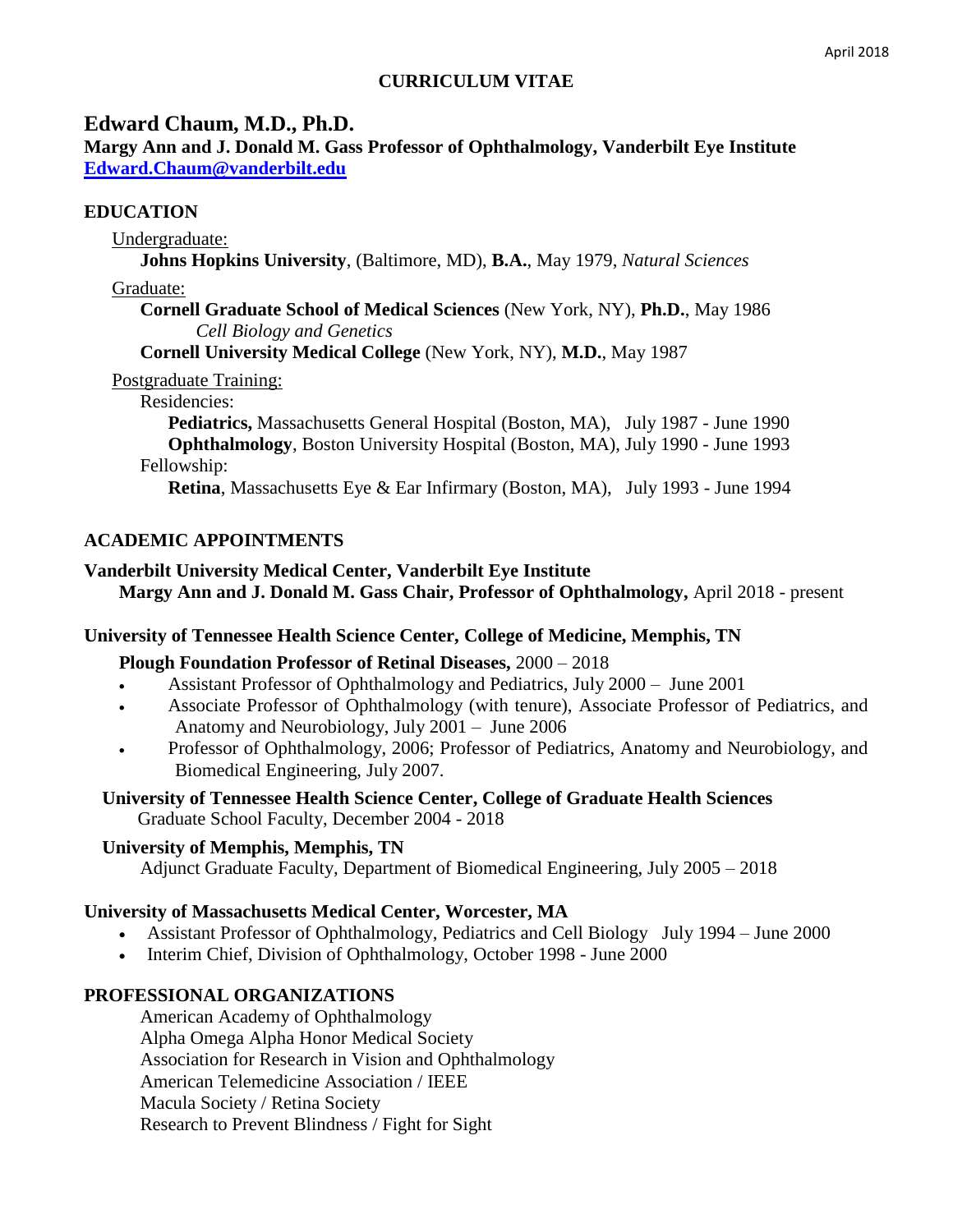# **CURRICULUM VITAE**

## **Edward Chaum, M.D., Ph.D.**

**Margy Ann and J. Donald M. Gass Professor of Ophthalmology, Vanderbilt Eye Institute [Edward.Chaum@vanderbilt.edu](mailto:Edward.Chaum@vanderbilt.edu)**

### **EDUCATION**

Undergraduate:

**Johns Hopkins University**, (Baltimore, MD), **B.A.**, May 1979, *Natural Sciences*

Graduate:

**Cornell Graduate School of Medical Sciences** (New York, NY), **Ph.D.**, May 1986 *Cell Biology and Genetics*

**Cornell University Medical College** (New York, NY), **M.D.**, May 1987

Postgraduate Training:

#### Residencies:

**Pediatrics,** Massachusetts General Hospital (Boston, MA), July 1987 - June 1990 **Ophthalmology**, Boston University Hospital (Boston, MA), July 1990 - June 1993 Fellowship:

**Retina**, Massachusetts Eye & Ear Infirmary (Boston, MA), July 1993 - June 1994

### **ACADEMIC APPOINTMENTS**

# **Vanderbilt University Medical Center, Vanderbilt Eye Institute Margy Ann and J. Donald M. Gass Chair, Professor of Ophthalmology,** April 2018 - present

### **University of Tennessee Health Science Center, College of Medicine, Memphis, TN**

**Plough Foundation Professor of Retinal Diseases,** 2000 – 2018

- Assistant Professor of Ophthalmology and Pediatrics, July 2000 June 2001
- Associate Professor of Ophthalmology (with tenure), Associate Professor of Pediatrics, and Anatomy and Neurobiology, July 2001 – June 2006
- Professor of Ophthalmology, 2006; Professor of Pediatrics, Anatomy and Neurobiology, and Biomedical Engineering, July 2007.

#### **University of Tennessee Health Science Center, College of Graduate Health Sciences** Graduate School Faculty, December 2004 - 2018

### **University of Memphis, Memphis, TN**

Adjunct Graduate Faculty, Department of Biomedical Engineering, July 2005 – 2018

### **University of Massachusetts Medical Center, Worcester, MA**

- Assistant Professor of Ophthalmology, Pediatrics and Cell Biology July 1994 June 2000
- Interim Chief, Division of Ophthalmology, October 1998 June 2000

### **PROFESSIONAL ORGANIZATIONS**

American Academy of Ophthalmology Alpha Omega Alpha Honor Medical Society Association for Research in Vision and Ophthalmology American Telemedicine Association / IEEE Macula Society / Retina Society Research to Prevent Blindness / Fight for Sight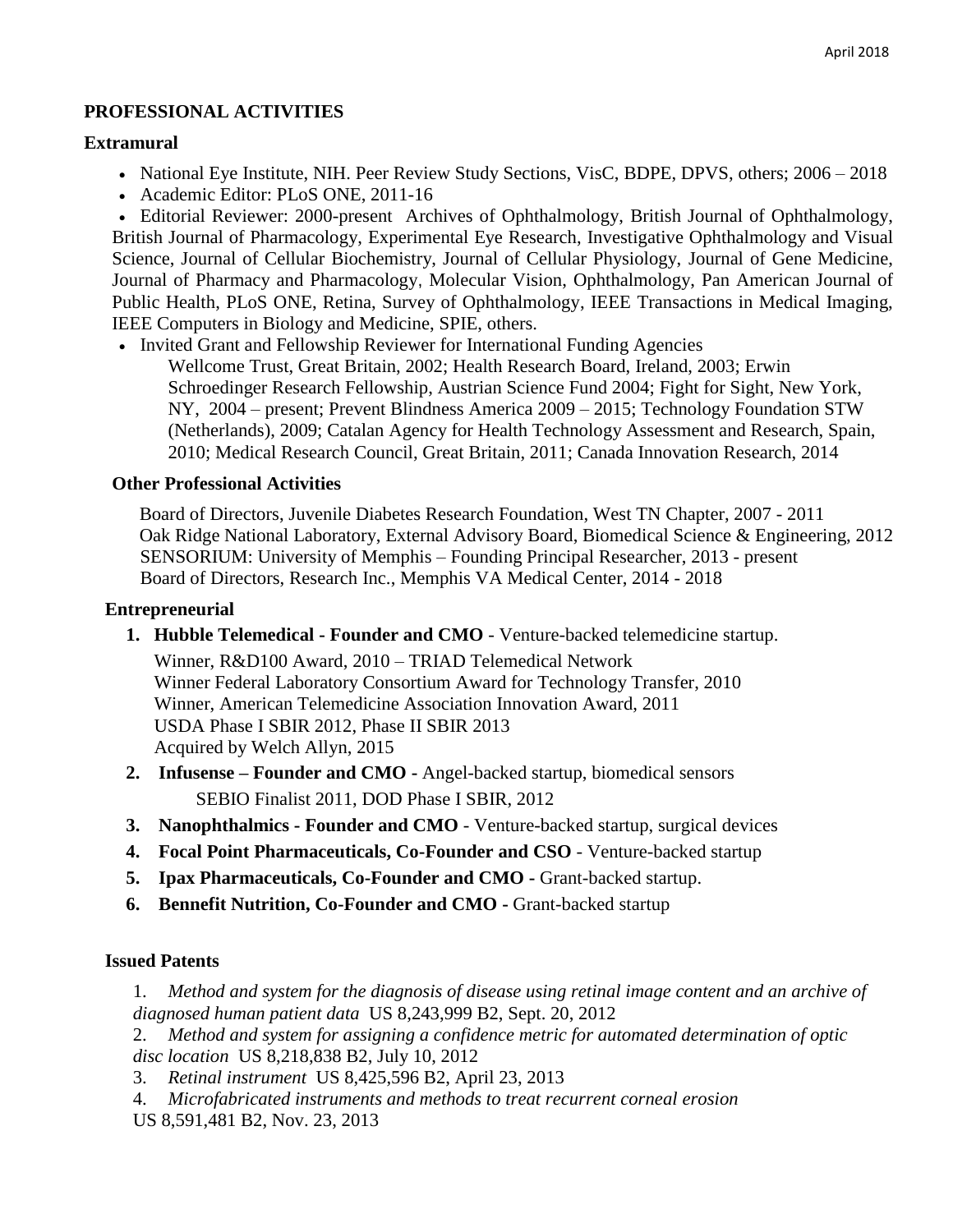# **PROFESSIONAL ACTIVITIES**

### **Extramural**

- National Eye Institute, NIH. Peer Review Study Sections, VisC, BDPE, DPVS, others; 2006 2018
- Academic Editor: PLoS ONE, 2011-16

 Editorial Reviewer: 2000-present Archives of Ophthalmology, British Journal of Ophthalmology, British Journal of Pharmacology, Experimental Eye Research, Investigative Ophthalmology and Visual Science, Journal of Cellular Biochemistry, Journal of Cellular Physiology, Journal of Gene Medicine, Journal of Pharmacy and Pharmacology, Molecular Vision, Ophthalmology, Pan American Journal of Public Health, PLoS ONE, Retina, Survey of Ophthalmology, IEEE Transactions in Medical Imaging, IEEE Computers in Biology and Medicine, SPIE, others.

• Invited Grant and Fellowship Reviewer for International Funding Agencies Wellcome Trust, Great Britain, 2002; Health Research Board, Ireland, 2003; Erwin Schroedinger Research Fellowship, Austrian Science Fund 2004; Fight for Sight, New York, NY, 2004 – present; Prevent Blindness America 2009 – 2015; Technology Foundation STW (Netherlands), 2009; Catalan Agency for Health Technology Assessment and Research, Spain, 2010; Medical Research Council, Great Britain, 2011; Canada Innovation Research, 2014

### **Other Professional Activities**

 Board of Directors, Juvenile Diabetes Research Foundation, West TN Chapter, 2007 - 2011 Oak Ridge National Laboratory, External Advisory Board, Biomedical Science & Engineering, 2012 SENSORIUM: University of Memphis – Founding Principal Researcher, 2013 - present Board of Directors, Research Inc., Memphis VA Medical Center, 2014 - 2018

#### **Entrepreneurial**

**1. Hubble Telemedical - Founder and CMO** - Venture-backed telemedicine startup.

Winner, R&D100 Award, 2010 – TRIAD Telemedical Network Winner Federal Laboratory Consortium Award for Technology Transfer, 2010 Winner, American Telemedicine Association Innovation Award, 2011 USDA Phase I SBIR 2012, Phase II SBIR 2013 Acquired by Welch Allyn, 2015

- **2. Infusense – Founder and CMO -** Angel-backed startup, biomedical sensors SEBIO Finalist 2011, DOD Phase I SBIR, 2012
- **3. Nanophthalmics - Founder and CMO** Venture-backed startup, surgical devices
- **4. Focal Point Pharmaceuticals, Co-Founder and CSO** Venture-backed startup
- **5. Ipax Pharmaceuticals, Co-Founder and CMO -** Grant-backed startup.
- **6. Bennefit Nutrition, Co-Founder and CMO -** Grant-backed startup

### **Issued Patents**

1. *Method and system for the diagnosis of disease using retinal image content and an archive of diagnosed human patient data* US 8,243,999 B2, Sept. 20, 2012

2. *Method and system for assigning a confidence metric for automated determination of optic disc location* US 8,218,838 B2, July 10, 2012

3. *Retinal instrument* US 8,425,596 B2, April 23, 2013

4. *Microfabricated instruments and methods to treat recurrent corneal erosion* US 8,591,481 B2, Nov. 23, 2013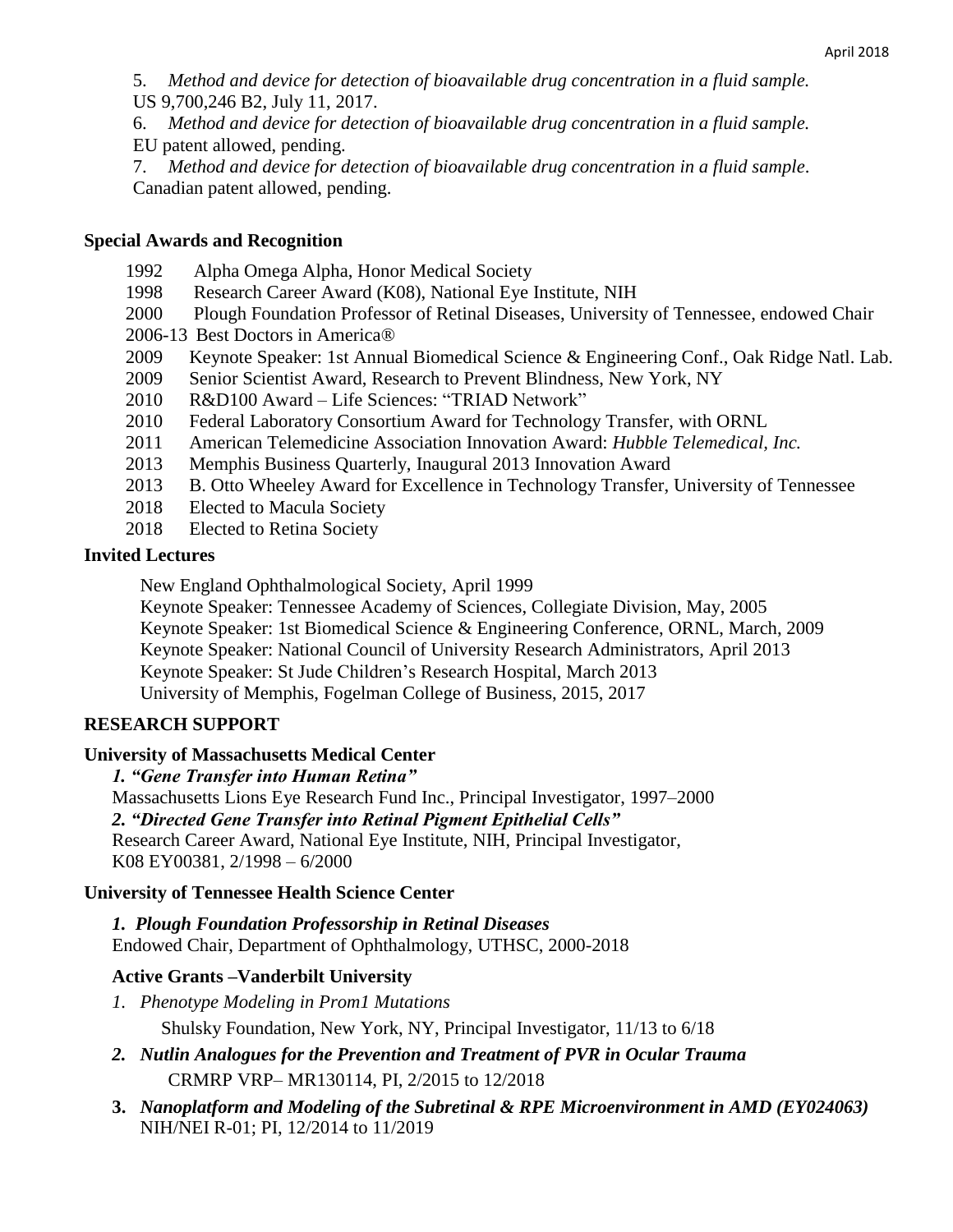- 5. *Method and device for detection of bioavailable drug concentration in a fluid sample.* US 9,700,246 B2, July 11, 2017.
- 6. *Method and device for detection of bioavailable drug concentration in a fluid sample.*
- EU patent allowed, pending.
- 7. *Method and device for detection of bioavailable drug concentration in a fluid sample*. Canadian patent allowed, pending.

### **Special Awards and Recognition**

- 1992 Alpha Omega Alpha, Honor Medical Society
- 1998 Research Career Award (K08), National Eye Institute, NIH
- 2000 Plough Foundation Professor of Retinal Diseases, University of Tennessee, endowed Chair
- 2006-13 Best Doctors in America®
- 2009 Keynote Speaker: 1st Annual Biomedical Science & Engineering Conf., Oak Ridge Natl. Lab.
- 2009 Senior Scientist Award, Research to Prevent Blindness, New York, NY
- 2010 R&D100 Award Life Sciences: "TRIAD Network"
- 2010 Federal Laboratory Consortium Award for Technology Transfer, with ORNL
- 2011 American Telemedicine Association Innovation Award: *Hubble Telemedical, Inc.*
- 2013 Memphis Business Quarterly, Inaugural 2013 Innovation Award
- 2013 B. Otto Wheeley Award for Excellence in Technology Transfer, University of Tennessee
- 2018 Elected to Macula Society
- 2018 Elected to Retina Society

#### **Invited Lectures**

New England Ophthalmological Society, April 1999

Keynote Speaker: Tennessee Academy of Sciences, Collegiate Division, May, 2005 Keynote Speaker: 1st Biomedical Science & Engineering Conference, ORNL, March, 2009 Keynote Speaker: National Council of University Research Administrators, April 2013 Keynote Speaker: St Jude Children's Research Hospital, March 2013 University of Memphis, Fogelman College of Business, 2015, 2017

### **RESEARCH SUPPORT**

### **University of Massachusetts Medical Center**

#### *1. "Gene Transfer into Human Retina"*

Massachusetts Lions Eye Research Fund Inc., Principal Investigator, 1997–2000

### *2. "Directed Gene Transfer into Retinal Pigment Epithelial Cells"*

Research Career Award, National Eye Institute, NIH, Principal Investigator, K08 EY00381, 2/1998 – 6/2000

### **University of Tennessee Health Science Center**

*1.**Plough Foundation Professorship in Retinal Diseases*  Endowed Chair, Department of Ophthalmology, UTHSC, 2000-2018

### **Active Grants –Vanderbilt University**

- *1. Phenotype Modeling in Prom1 Mutations* Shulsky Foundation, New York, NY, Principal Investigator, 11/13 to 6/18
- *2. Nutlin Analogues for the Prevention and Treatment of PVR in Ocular Trauma*  CRMRP VRP– MR130114, PI, 2/2015 to 12/2018
- **3.** *Nanoplatform and Modeling of the Subretinal & RPE Microenvironment in AMD (EY024063)*  NIH/NEI R-01; PI, 12/2014 to 11/2019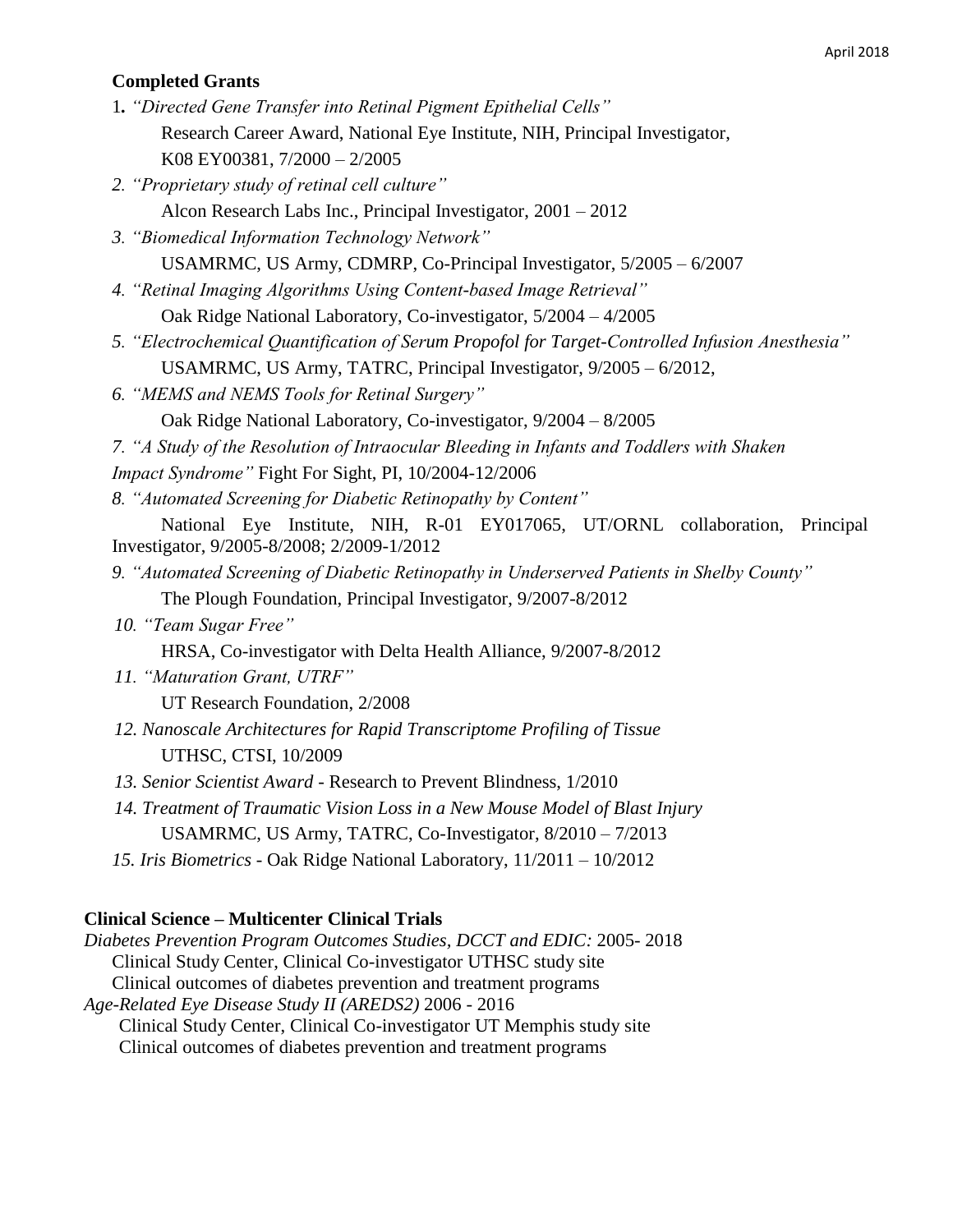#### April 2018

#### **Completed Grants**

- 1*. "Directed Gene Transfer into Retinal Pigment Epithelial Cells"* Research Career Award, National Eye Institute, NIH, Principal Investigator, K08 EY00381, 7/2000 – 2/2005
- *2. "Proprietary study of retinal cell culture"* Alcon Research Labs Inc., Principal Investigator, 2001 – 2012
- *3. "Biomedical Information Technology Network"* USAMRMC, US Army, CDMRP, Co-Principal Investigator, 5/2005 – 6/2007
- *4. "Retinal Imaging Algorithms Using Content-based Image Retrieval"*  Oak Ridge National Laboratory, Co-investigator, 5/2004 – 4/2005
- *5. "Electrochemical Quantification of Serum Propofol for Target-Controlled Infusion Anesthesia"*  USAMRMC, US Army, TATRC, Principal Investigator, 9/2005 – 6/2012,
- *6. "MEMS and NEMS Tools for Retinal Surgery"* Oak Ridge National Laboratory, Co-investigator, 9/2004 – 8/2005
- *7. "A Study of the Resolution of Intraocular Bleeding in Infants and Toddlers with Shaken Impact Syndrome"* Fight For Sight, PI, 10/2004-12/2006
- *8. "Automated Screening for Diabetic Retinopathy by Content"*

National Eye Institute, NIH, R-01 EY017065, UT/ORNL collaboration, Principal Investigator, 9/2005-8/2008; 2/2009-1/2012

- *9. "Automated Screening of Diabetic Retinopathy in Underserved Patients in Shelby County"* The Plough Foundation, Principal Investigator, 9/2007-8/2012
- *10. "Team Sugar Free"*  HRSA, Co-investigator with Delta Health Alliance, 9/2007-8/2012
- *11. "Maturation Grant, UTRF"*  UT Research Foundation, 2/2008
- *12. Nanoscale Architectures for Rapid Transcriptome Profiling of Tissue*  UTHSC, CTSI, 10/2009
- *13. Senior Scientist Award -* Research to Prevent Blindness, 1/2010
- *14. Treatment of Traumatic Vision Loss in a New Mouse Model of Blast Injury*  USAMRMC, US Army, TATRC, Co-Investigator, 8/2010 – 7/2013
- *15. Iris Biometrics -* Oak Ridge National Laboratory, 11/2011 10/2012

#### **Clinical Science – Multicenter Clinical Trials**

*Diabetes Prevention Program Outcomes Studies, DCCT and EDIC:* 2005- 2018 Clinical Study Center, Clinical Co-investigator UTHSC study site Clinical outcomes of diabetes prevention and treatment programs *Age-Related Eye Disease Study II (AREDS2)* 2006 - 2016 Clinical Study Center, Clinical Co-investigator UT Memphis study site Clinical outcomes of diabetes prevention and treatment programs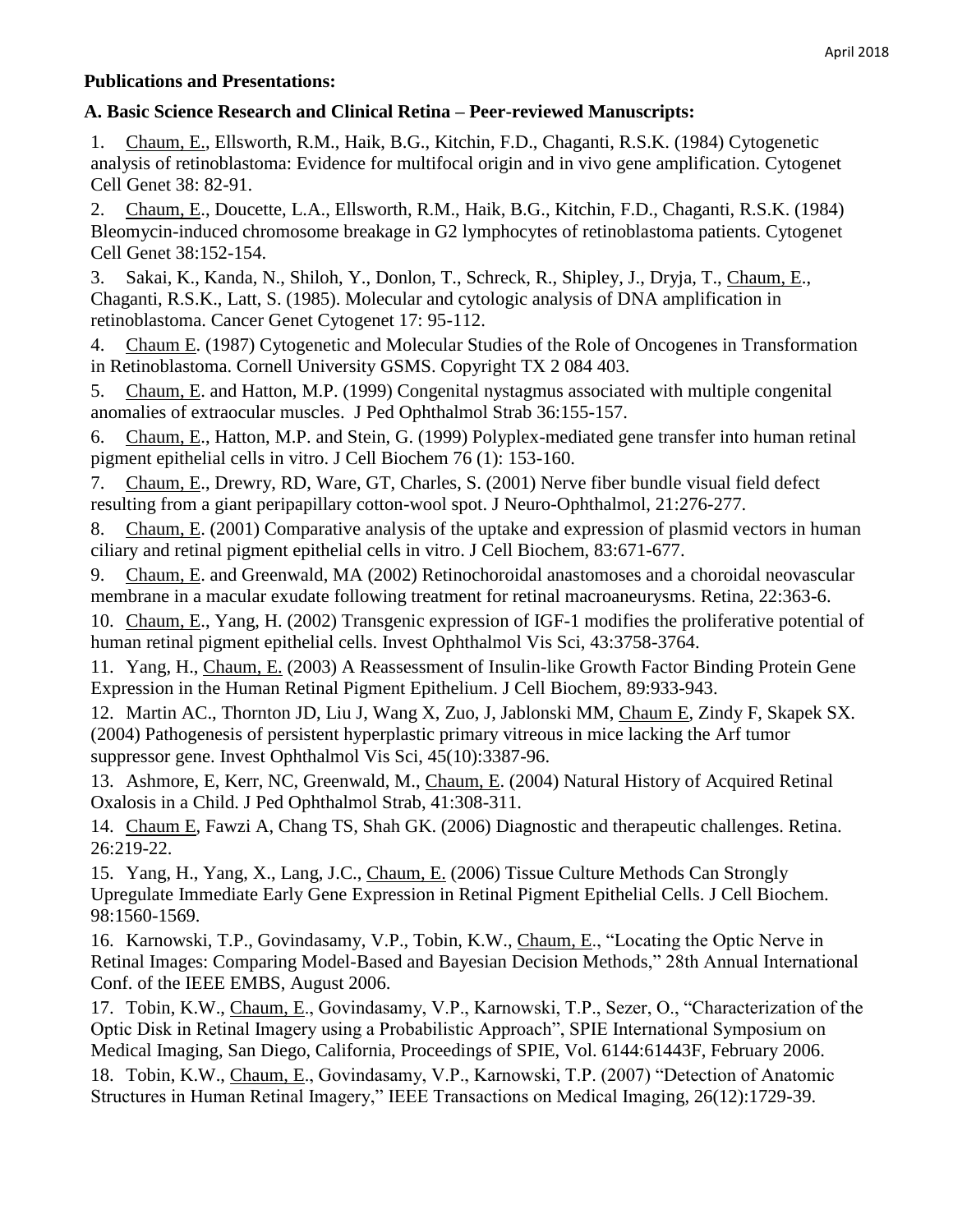## **Publications and Presentations:**

# **A. Basic Science Research and Clinical Retina – Peer-reviewed Manuscripts:**

1. Chaum, E., Ellsworth, R.M., Haik, B.G., Kitchin, F.D., Chaganti, R.S.K. (1984) Cytogenetic analysis of retinoblastoma: Evidence for multifocal origin and in vivo gene amplification. Cytogenet Cell Genet 38: 82-91.

2. Chaum, E., Doucette, L.A., Ellsworth, R.M., Haik, B.G., Kitchin, F.D., Chaganti, R.S.K. (1984) Bleomycin-induced chromosome breakage in G2 lymphocytes of retinoblastoma patients. Cytogenet Cell Genet 38:152-154.

3. Sakai, K., Kanda, N., Shiloh, Y., Donlon, T., Schreck, R., Shipley, J., Dryja, T., Chaum, E., Chaganti, R.S.K., Latt, S. (1985). Molecular and cytologic analysis of DNA amplification in retinoblastoma. Cancer Genet Cytogenet 17: 95-112.

4. Chaum E. (1987) Cytogenetic and Molecular Studies of the Role of Oncogenes in Transformation in Retinoblastoma. Cornell University GSMS. Copyright TX 2 084 403.

5. Chaum, E. and Hatton, M.P. (1999) Congenital nystagmus associated with multiple congenital anomalies of extraocular muscles. J Ped Ophthalmol Strab 36:155-157.

6. Chaum, E., Hatton, M.P. and Stein, G. (1999) Polyplex-mediated gene transfer into human retinal pigment epithelial cells in vitro. J Cell Biochem 76 (1): 153-160.

7. Chaum, E., Drewry, RD, Ware, GT, Charles, S. (2001) Nerve fiber bundle visual field defect resulting from a giant peripapillary cotton-wool spot. J Neuro-Ophthalmol, 21:276-277.

8. Chaum, E. (2001) Comparative analysis of the uptake and expression of plasmid vectors in human ciliary and retinal pigment epithelial cells in vitro. J Cell Biochem, 83:671-677.

9. Chaum, E. and Greenwald, MA (2002) Retinochoroidal anastomoses and a choroidal neovascular membrane in a macular exudate following treatment for retinal macroaneurysms. Retina, 22:363-6.

10. Chaum, E., Yang, H. (2002) Transgenic expression of IGF-1 modifies the proliferative potential of human retinal pigment epithelial cells. Invest Ophthalmol Vis Sci, 43:3758-3764.

11. Yang, H., Chaum, E. (2003) A Reassessment of Insulin-like Growth Factor Binding Protein Gene Expression in the Human Retinal Pigment Epithelium. J Cell Biochem, 89:933-943.

12. Martin AC., Thornton JD, Liu J, Wang X, Zuo, J, Jablonski MM, Chaum E, Zindy F, Skapek SX. (2004) Pathogenesis of persistent hyperplastic primary vitreous in mice lacking the Arf tumor suppressor gene. Invest Ophthalmol Vis Sci, 45(10):3387-96.

13. Ashmore, E, Kerr, NC, Greenwald, M., Chaum, E. (2004) Natural History of Acquired Retinal Oxalosis in a Child. J Ped Ophthalmol Strab, 41:308-311.

14. Chaum E, Fawzi A, Chang TS, Shah GK. (2006) Diagnostic and therapeutic challenges. Retina. 26:219-22.

15. Yang, H., Yang, X., Lang, J.C., Chaum, E. (2006) Tissue Culture Methods Can Strongly Upregulate Immediate Early Gene Expression in Retinal Pigment Epithelial Cells. J Cell Biochem. 98:1560-1569.

16. Karnowski, T.P., Govindasamy, V.P., Tobin, K.W., Chaum, E., "Locating the Optic Nerve in Retinal Images: Comparing Model-Based and Bayesian Decision Methods," 28th Annual International Conf. of the IEEE EMBS, August 2006.

17. Tobin, K.W., Chaum, E., Govindasamy, V.P., Karnowski, T.P., Sezer, O., "Characterization of the Optic Disk in Retinal Imagery using a Probabilistic Approach", SPIE International Symposium on Medical Imaging, San Diego, California, Proceedings of SPIE, Vol. 6144:61443F, February 2006. 18. Tobin, K.W., Chaum, E., Govindasamy, V.P., Karnowski, T.P. (2007) "Detection of Anatomic Structures in Human Retinal Imagery," IEEE Transactions on Medical Imaging, 26(12):1729-39.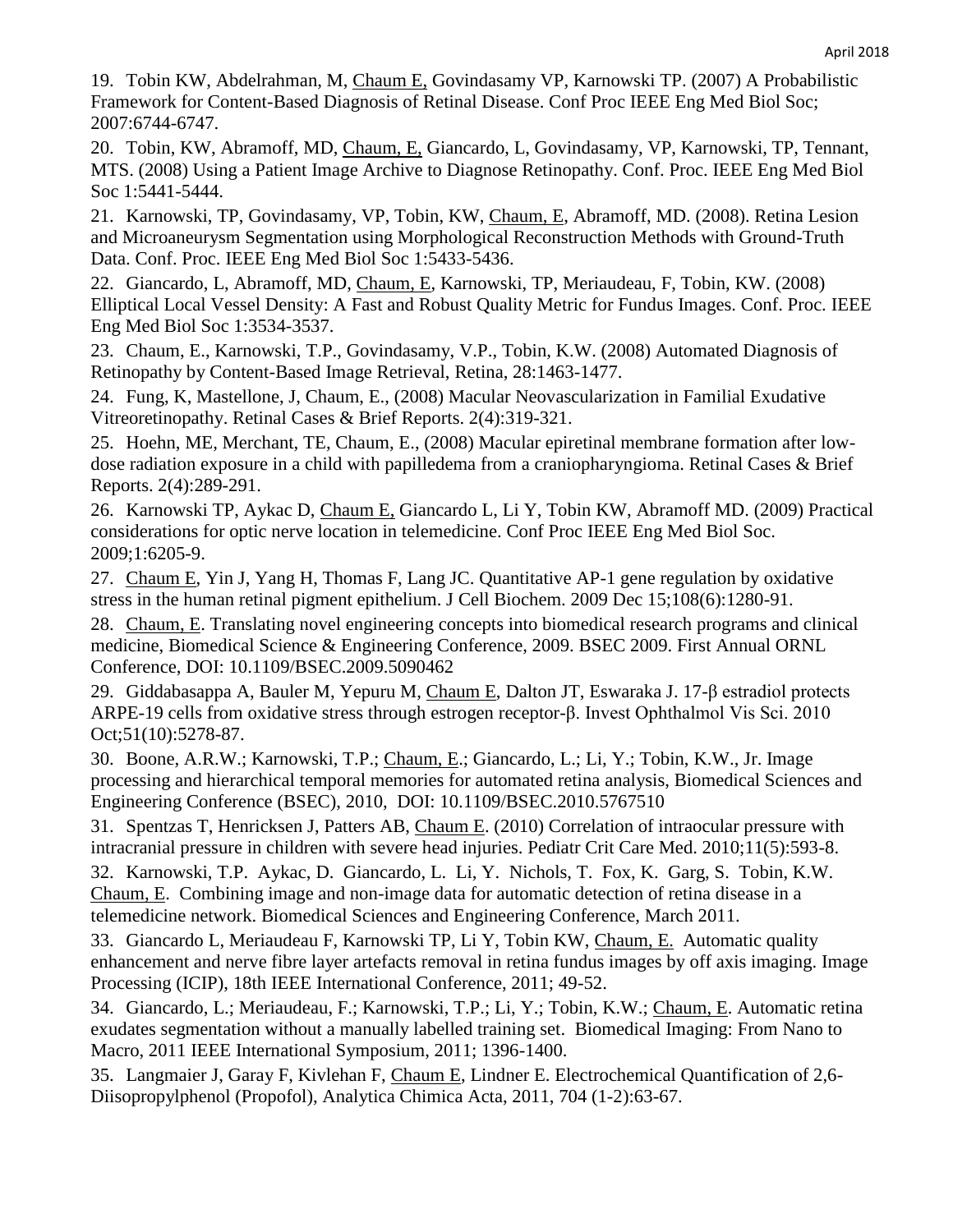19. Tobin KW, Abdelrahman, M, Chaum E, Govindasamy VP, Karnowski TP. (2007) A Probabilistic Framework for Content-Based Diagnosis of Retinal Disease. Conf Proc IEEE Eng Med Biol Soc; 2007:6744-6747.

20. Tobin, KW, Abramoff, MD, Chaum, E, Giancardo, L, Govindasamy, VP, Karnowski, TP, Tennant, MTS. (2008) Using a Patient Image Archive to Diagnose Retinopathy. Conf. Proc. IEEE Eng Med Biol Soc 1:5441-5444.

21. Karnowski, TP, Govindasamy, VP, Tobin, KW, Chaum, E, Abramoff, MD. (2008). Retina Lesion and Microaneurysm Segmentation using Morphological Reconstruction Methods with Ground-Truth Data. Conf. Proc. IEEE Eng Med Biol Soc 1:5433-5436.

22. Giancardo, L, Abramoff, MD, Chaum, E, Karnowski, TP, Meriaudeau, F, Tobin, KW. (2008) Elliptical Local Vessel Density: A Fast and Robust Quality Metric for Fundus Images. Conf. Proc. IEEE Eng Med Biol Soc 1:3534-3537.

23. Chaum, E., Karnowski, T.P., Govindasamy, V.P., Tobin, K.W. (2008) Automated Diagnosis of Retinopathy by Content-Based Image Retrieval, Retina, 28:1463-1477.

24. Fung, K, Mastellone, J, Chaum, E., (2008) Macular Neovascularization in Familial Exudative Vitreoretinopathy. Retinal Cases & Brief Reports. 2(4):319-321.

25. Hoehn, ME, Merchant, TE, Chaum, E., (2008) Macular epiretinal membrane formation after lowdose radiation exposure in a child with papilledema from a craniopharyngioma. Retinal Cases & Brief Reports. 2(4):289-291.

26. Karnowski TP, Aykac D, Chaum E, Giancardo L, Li Y, Tobin KW, Abramoff MD. (2009) Practical considerations for optic nerve location in telemedicine. Conf Proc IEEE Eng Med Biol Soc. 2009;1:6205-9.

27. Chaum E, Yin J, Yang H, Thomas F, Lang JC. Quantitative AP-1 gene regulation by oxidative stress in the human retinal pigment epithelium. J Cell Biochem. 2009 Dec 15;108(6):1280-91.

28. Chaum, E. Translating novel engineering concepts into biomedical research programs and clinical medicine, Biomedical Science & Engineering Conference, 2009. BSEC 2009. First Annual ORNL Conference, DOI: 10.1109/BSEC.2009.5090462

29. Giddabasappa A, Bauler M, Yepuru M, Chaum E, Dalton JT, Eswaraka J. 17-β estradiol protects ARPE-19 cells from oxidative stress through estrogen receptor-β. Invest Ophthalmol Vis Sci. 2010 Oct;51(10):5278-87.

30. Boone, A.R.W.; Karnowski, T.P.; Chaum, E.; Giancardo, L.; Li, Y.; Tobin, K.W., Jr. Image processing and hierarchical temporal memories for automated retina analysis, Biomedical Sciences and Engineering Conference (BSEC), 2010, DOI: 10.1109/BSEC.2010.5767510

31. Spentzas T, Henricksen J, Patters AB, Chaum E. (2010) Correlation of intraocular pressure with intracranial pressure in children with severe head injuries. Pediatr Crit Care Med. 2010;11(5):593-8.

32. Karnowski, T.P. Aykac, D. Giancardo, L. Li, Y. Nichols, T. Fox, K. Garg, S. Tobin, K.W. Chaum, E. Combining image and non-image data for automatic detection of retina disease in a telemedicine network. Biomedical Sciences and Engineering Conference, March 2011.

33. Giancardo L, Meriaudeau F, Karnowski TP, Li Y, Tobin KW, Chaum, E. Automatic quality enhancement and nerve fibre layer artefacts removal in retina fundus images by off axis imaging. Image Processing (ICIP), 18th IEEE International Conference, 2011; 49-52.

34. Giancardo, L.; Meriaudeau, F.; Karnowski, T.P.; Li, Y.; Tobin, K.W.; Chaum, E. Automatic retina exudates segmentation without a manually labelled training set. Biomedical Imaging: From Nano to Macro, 2011 IEEE International Symposium, 2011; 1396-1400.

35. Langmaier J, Garay F, Kivlehan F, Chaum E, Lindner E. Electrochemical Quantification of 2,6- Diisopropylphenol (Propofol), Analytica Chimica Acta, 2011, 704 (1-2):63-67.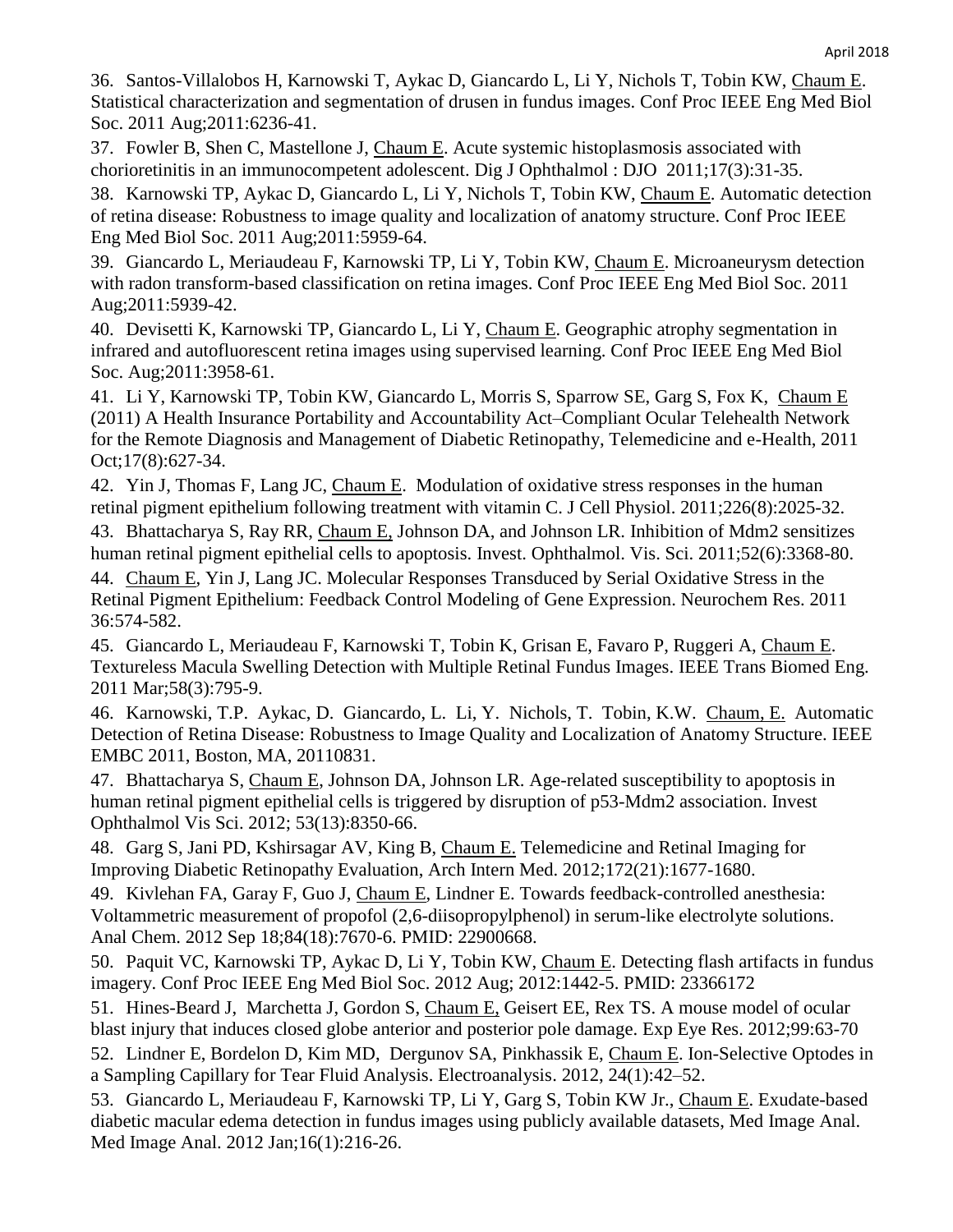36. Santos-Villalobos H, Karnowski T, Aykac D, Giancardo L, Li Y, Nichols T, Tobin KW, Chaum E. Statistical characterization and segmentation of drusen in fundus images. Conf Proc IEEE Eng Med Biol Soc. 2011 Aug;2011:6236-41.

37. Fowler B, Shen C, Mastellone J, Chaum E. Acute systemic histoplasmosis associated with chorioretinitis in an immunocompetent adolescent. Dig J Ophthalmol : DJO 2011;17(3):31-35.

38. Karnowski TP, Aykac D, Giancardo L, Li Y, Nichols T, Tobin KW, Chaum E. Automatic detection of retina disease: Robustness to image quality and localization of anatomy structure. Conf Proc IEEE Eng Med Biol Soc. 2011 Aug;2011:5959-64.

39. Giancardo L, Meriaudeau F, Karnowski TP, Li Y, Tobin KW, Chaum E. Microaneurysm detection with radon transform-based classification on retina images. Conf Proc IEEE Eng Med Biol Soc. 2011 Aug;2011:5939-42.

40. Devisetti K, Karnowski TP, Giancardo L, Li Y, Chaum E. Geographic atrophy segmentation in infrared and autofluorescent retina images using supervised learning. Conf Proc IEEE Eng Med Biol Soc. Aug;2011:3958-61.

41. Li Y, Karnowski TP, Tobin KW, Giancardo L, Morris S, Sparrow SE, Garg S, Fox K, Chaum E (2011) A Health Insurance Portability and Accountability Act–Compliant Ocular Telehealth Network for the Remote Diagnosis and Management of Diabetic Retinopathy, Telemedicine and e-Health, 2011 Oct;17(8):627-34.

42. Yin J, Thomas F, Lang JC, Chaum E. Modulation of oxidative stress responses in the human retinal pigment epithelium following treatment with vitamin C. J Cell Physiol. 2011;226(8):2025-32.

43. Bhattacharya S, Ray RR, Chaum E, Johnson DA, and Johnson LR. Inhibition of Mdm2 sensitizes human retinal pigment epithelial cells to apoptosis. Invest. Ophthalmol. Vis. Sci. 2011;52(6):3368-80.

44. Chaum E, Yin J, Lang JC. Molecular Responses Transduced by Serial Oxidative Stress in the Retinal Pigment Epithelium: Feedback Control Modeling of Gene Expression. Neurochem Res. 2011 36:574-582.

45. Giancardo L, Meriaudeau F, Karnowski T, Tobin K, Grisan E, Favaro P, Ruggeri A, Chaum E. Textureless Macula Swelling Detection with Multiple Retinal Fundus Images. IEEE Trans Biomed Eng. 2011 Mar;58(3):795-9.

46. Karnowski, T.P. Aykac, D. Giancardo, L. Li, Y. Nichols, T. Tobin, K.W. Chaum, E. Automatic Detection of Retina Disease: Robustness to Image Quality and Localization of Anatomy Structure. IEEE EMBC 2011, Boston, MA, 20110831.

47. Bhattacharya S, Chaum E, Johnson DA, Johnson LR. Age-related susceptibility to apoptosis in human retinal pigment epithelial cells is triggered by disruption of p53-Mdm2 association. Invest Ophthalmol Vis Sci. 2012; 53(13):8350-66.

48. Garg S, Jani PD, Kshirsagar AV, King B, Chaum E. Telemedicine and Retinal Imaging for Improving Diabetic Retinopathy Evaluation, Arch Intern Med. 2012;172(21):1677-1680.

49. Kivlehan FA, Garay F, Guo J, Chaum E, Lindner E. Towards feedback-controlled anesthesia: Voltammetric measurement of propofol (2,6-diisopropylphenol) in serum-like electrolyte solutions. Anal Chem. 2012 Sep 18;84(18):7670-6. PMID: 22900668.

50. Paquit VC, Karnowski TP, Aykac D, Li Y, Tobin KW, Chaum E. Detecting flash artifacts in fundus imagery. Conf Proc IEEE Eng Med Biol Soc. 2012 Aug; 2012:1442-5. PMID: 23366172

51. Hines-Beard J, Marchetta J, Gordon S, Chaum E, Geisert EE, Rex TS. A mouse model of ocular blast injury that induces closed globe anterior and posterior pole damage. Exp Eye Res. 2012;99:63-70

52. Lindner E, Bordelon D, Kim MD, Dergunov SA, Pinkhassik E, Chaum E. Ion-Selective Optodes in a Sampling Capillary for Tear Fluid Analysis. Electroanalysis. 2012, 24(1):42–52.

53. Giancardo L, Meriaudeau F, Karnowski TP, Li Y, Garg S, Tobin KW Jr., Chaum E. Exudate-based diabetic macular edema detection in fundus images using publicly available datasets, Med Image Anal. Med Image Anal. 2012 Jan;16(1):216-26.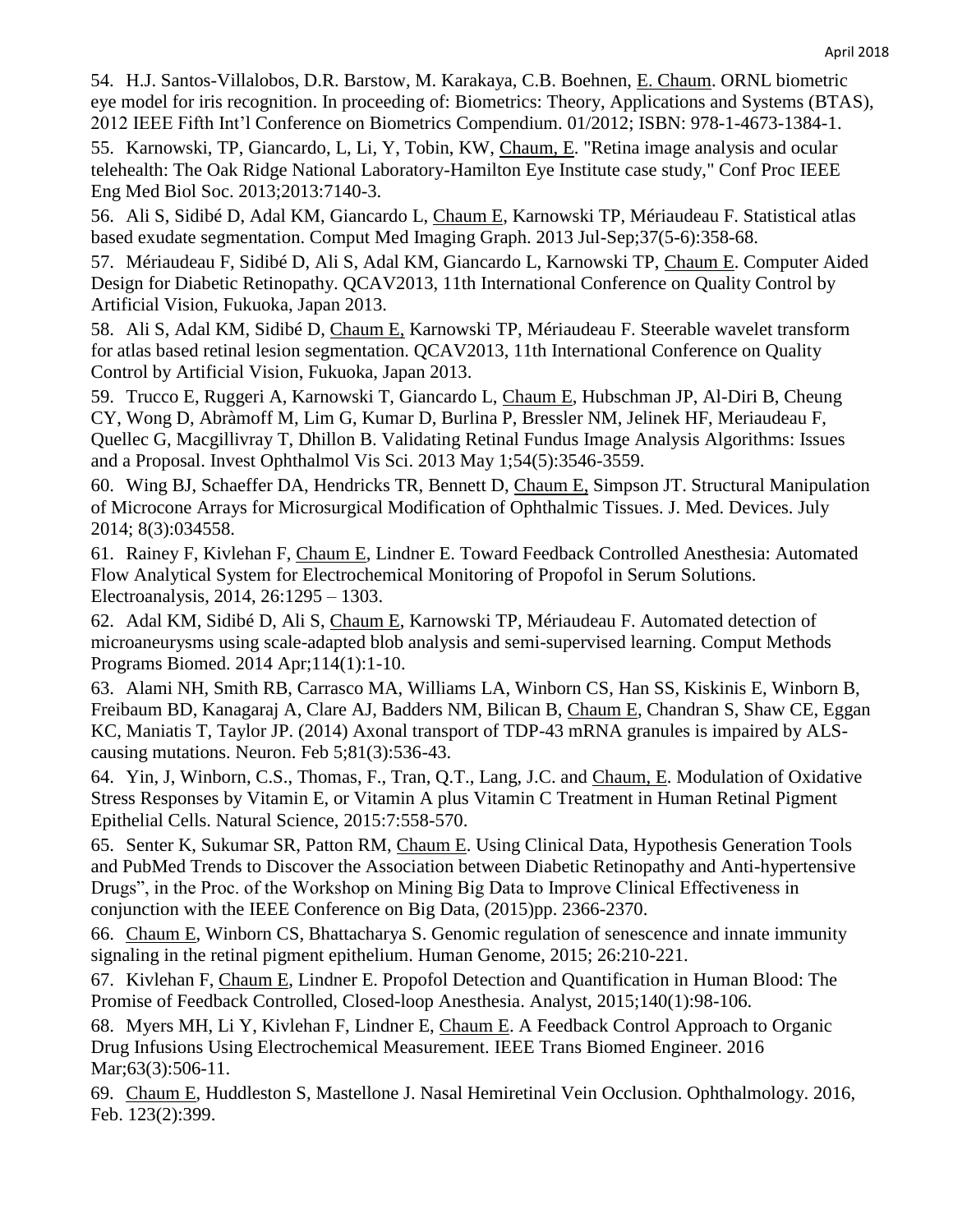54. H.J. Santos-Villalobos, D.R. Barstow, M. Karakaya, C.B. Boehnen, E. Chaum. ORNL biometric eye model for iris recognition. In proceeding of: Biometrics: Theory, Applications and Systems (BTAS), 2012 IEEE Fifth Int'l Conference on Biometrics Compendium. 01/2012; ISBN: 978-1-4673-1384-1.

55. Karnowski, TP, Giancardo, L, Li, Y, Tobin, KW, Chaum, E. "Retina image analysis and ocular telehealth: The Oak Ridge National Laboratory-Hamilton Eye Institute case study," Conf Proc IEEE Eng Med Biol Soc. 2013;2013:7140-3.

56. Ali S, Sidibé D, Adal KM, Giancardo L, Chaum E, Karnowski TP, Mériaudeau F. Statistical atlas based exudate segmentation. Comput Med Imaging Graph. 2013 Jul-Sep;37(5-6):358-68.

57. Mériaudeau F, Sidibé D, Ali S, Adal KM, Giancardo L, Karnowski TP, Chaum E. Computer Aided Design for Diabetic Retinopathy. QCAV2013, 11th International Conference on Quality Control by Artificial Vision, Fukuoka, Japan 2013.

58. Ali S, Adal KM, Sidibé D, Chaum E, Karnowski TP, Mériaudeau F. Steerable wavelet transform for atlas based retinal lesion segmentation. QCAV2013, 11th International Conference on Quality Control by Artificial Vision, Fukuoka, Japan 2013.

59. Trucco E, Ruggeri A, Karnowski T, Giancardo L, Chaum E, Hubschman JP, Al-Diri B, Cheung CY, Wong D, Abràmoff M, Lim G, Kumar D, Burlina P, Bressler NM, Jelinek HF, Meriaudeau F, Quellec G, Macgillivray T, Dhillon B. Validating Retinal Fundus Image Analysis Algorithms: Issues and a Proposal. Invest Ophthalmol Vis Sci. 2013 May 1;54(5):3546-3559.

60. Wing BJ, Schaeffer DA, Hendricks TR, Bennett D, Chaum E, Simpson JT. Structural Manipulation of Microcone Arrays for Microsurgical Modification of Ophthalmic Tissues. J. Med. Devices. July 2014; 8(3):034558.

61. Rainey F, Kivlehan F, Chaum E, Lindner E. Toward Feedback Controlled Anesthesia: Automated Flow Analytical System for Electrochemical Monitoring of Propofol in Serum Solutions. Electroanalysis, 2014, 26:1295 – 1303.

62. Adal KM, Sidibé D, Ali S, Chaum E, Karnowski TP, Mériaudeau F. Automated detection of microaneurysms using scale-adapted blob analysis and semi-supervised learning. Comput Methods Programs Biomed. 2014 Apr;114(1):1-10.

63. Alami NH, Smith RB, Carrasco MA, Williams LA, Winborn CS, Han SS, Kiskinis E, Winborn B, Freibaum BD, Kanagaraj A, Clare AJ, Badders NM, Bilican B, Chaum E, Chandran S, Shaw CE, Eggan KC, Maniatis T, Taylor JP. (2014) Axonal transport of TDP-43 mRNA granules is impaired by ALScausing mutations. Neuron. Feb 5;81(3):536-43.

64. Yin, J, Winborn, C.S., Thomas, F., Tran, Q.T., Lang, J.C. and Chaum, E. Modulation of Oxidative Stress Responses by Vitamin E, or Vitamin A plus Vitamin C Treatment in Human Retinal Pigment Epithelial Cells. Natural Science, 2015:7:558-570.

65. Senter K, Sukumar SR, Patton RM, Chaum E. Using Clinical Data, Hypothesis Generation Tools and PubMed Trends to Discover the Association between Diabetic Retinopathy and Anti-hypertensive Drugs", in the Proc. of the Workshop on Mining Big Data to Improve Clinical Effectiveness in conjunction with the IEEE Conference on Big Data, (2015)pp. 2366-2370.

66. Chaum E, Winborn CS, Bhattacharya S. Genomic regulation of senescence and innate immunity signaling in the retinal pigment epithelium. Human Genome, 2015; 26:210-221.

67. Kivlehan F, Chaum E, Lindner E. Propofol Detection and Quantification in Human Blood: The Promise of Feedback Controlled, Closed-loop Anesthesia. Analyst, 2015;140(1):98-106.

68. Myers MH, Li Y, Kivlehan F, Lindner E, Chaum E. A Feedback Control Approach to Organic Drug Infusions Using Electrochemical Measurement. IEEE Trans Biomed Engineer. 2016 Mar; 63(3): 506-11.

69. Chaum E, Huddleston S, Mastellone J. Nasal Hemiretinal Vein Occlusion. Ophthalmology. 2016, Feb. 123(2):399.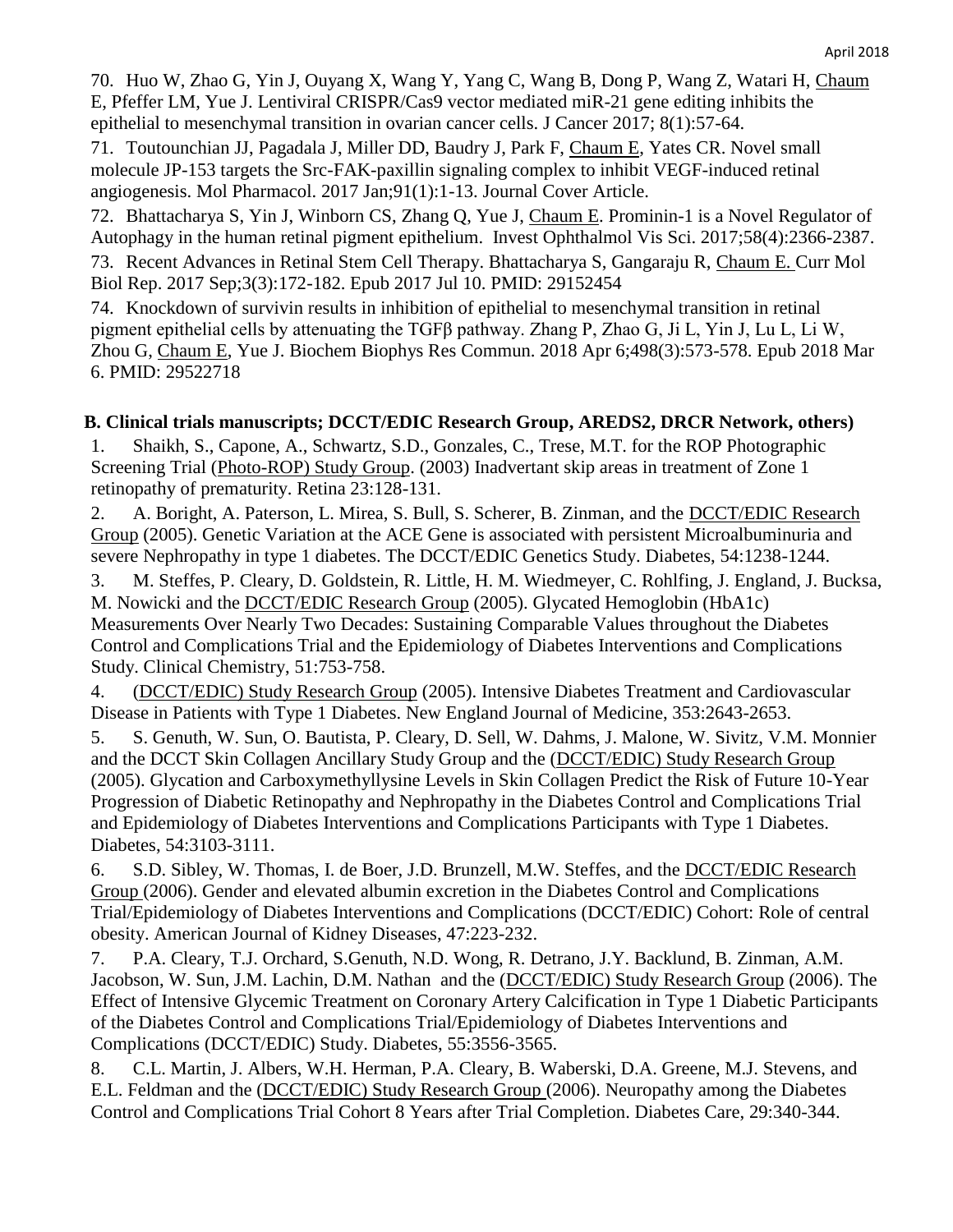70. Huo W, Zhao G, Yin J, Ouyang X, Wang Y, Yang C, Wang B, Dong P, Wang Z, Watari H, Chaum E, Pfeffer LM, Yue J. Lentiviral CRISPR/Cas9 vector mediated miR-21 gene editing inhibits the epithelial to mesenchymal transition in ovarian cancer cells. J Cancer 2017; 8(1):57-64.

71. Toutounchian JJ, Pagadala J, Miller DD, Baudry J, Park F, Chaum E, Yates CR. Novel small molecule JP-153 targets the Src-FAK-paxillin signaling complex to inhibit VEGF-induced retinal angiogenesis. Mol Pharmacol. 2017 Jan;91(1):1-13. Journal Cover Article.

72. Bhattacharya S, Yin J, Winborn CS, Zhang Q, Yue J, Chaum E. Prominin-1 is a Novel Regulator of Autophagy in the human retinal pigment epithelium. Invest Ophthalmol Vis Sci. 2017;58(4):2366-2387. 73. Recent Advances in Retinal Stem Cell Therapy. Bhattacharya S, Gangaraju R, Chaum E. Curr Mol Biol Rep. 2017 Sep;3(3):172-182. Epub 2017 Jul 10. PMID: 29152454

74. Knockdown of survivin results in inhibition of epithelial to mesenchymal transition in retinal pigment epithelial cells by attenuating the TGFβ pathway. Zhang P, Zhao G, Ji L, Yin J, Lu L, Li W, Zhou G, Chaum E, Yue J. Biochem Biophys Res Commun. 2018 Apr 6;498(3):573-578. Epub 2018 Mar 6. PMID: 29522718

### **B. Clinical trials manuscripts; DCCT/EDIC Research Group, AREDS2, DRCR Network, others)**

1. Shaikh, S., Capone, A., Schwartz, S.D., Gonzales, C., Trese, M.T. for the ROP Photographic Screening Trial (Photo-ROP) Study Group. (2003) Inadvertant skip areas in treatment of Zone 1 retinopathy of prematurity. Retina 23:128-131.

2. A. Boright, A. Paterson, L. Mirea, S. Bull, S. Scherer, B. Zinman, and the **DCCT/EDIC Research** Group (2005). Genetic Variation at the ACE Gene is associated with persistent Microalbuminuria and severe Nephropathy in type 1 diabetes. The DCCT/EDIC Genetics Study. Diabetes, 54:1238-1244.

3. M. Steffes, P. Cleary, D. Goldstein, R. Little, H. M. Wiedmeyer, C. Rohlfing, J. England, J. Bucksa, M. Nowicki and the DCCT/EDIC Research Group (2005). Glycated Hemoglobin (HbA1c) Measurements Over Nearly Two Decades: Sustaining Comparable Values throughout the Diabetes Control and Complications Trial and the Epidemiology of Diabetes Interventions and Complications Study. Clinical Chemistry, 51:753-758.

4. (DCCT/EDIC) Study Research Group (2005). Intensive Diabetes Treatment and Cardiovascular Disease in Patients with Type 1 Diabetes. New England Journal of Medicine, 353:2643-2653.

5. S. Genuth, W. Sun, O. Bautista, P. Cleary, D. Sell, W. Dahms, J. Malone, W. Sivitz, V.M. Monnier and the DCCT Skin Collagen Ancillary Study Group and the (DCCT/EDIC) Study Research Group (2005). Glycation and Carboxymethyllysine Levels in Skin Collagen Predict the Risk of Future 10-Year Progression of Diabetic Retinopathy and Nephropathy in the Diabetes Control and Complications Trial and Epidemiology of Diabetes Interventions and Complications Participants with Type 1 Diabetes. Diabetes, 54:3103-3111.

6. S.D. Sibley, W. Thomas, I. de Boer, J.D. Brunzell, M.W. Steffes, and the DCCT/EDIC Research Group (2006). Gender and elevated albumin excretion in the Diabetes Control and Complications Trial/Epidemiology of Diabetes Interventions and Complications (DCCT/EDIC) Cohort: Role of central obesity. American Journal of Kidney Diseases, 47:223-232.

7. P.A. Cleary, T.J. Orchard, S.Genuth, N.D. Wong, R. Detrano, J.Y. Backlund, B. Zinman, A.M. Jacobson, W. Sun, J.M. Lachin, D.M. Nathan and the (DCCT/EDIC) Study Research Group (2006). The Effect of Intensive Glycemic Treatment on Coronary Artery Calcification in Type 1 Diabetic Participants of the Diabetes Control and Complications Trial/Epidemiology of Diabetes Interventions and Complications (DCCT/EDIC) Study. Diabetes, 55:3556-3565.

8. C.L. Martin, J. Albers, W.H. Herman, P.A. Cleary, B. Waberski, D.A. Greene, M.J. Stevens, and E.L. Feldman and the (DCCT/EDIC) Study Research Group (2006). Neuropathy among the Diabetes Control and Complications Trial Cohort 8 Years after Trial Completion. Diabetes Care, 29:340-344.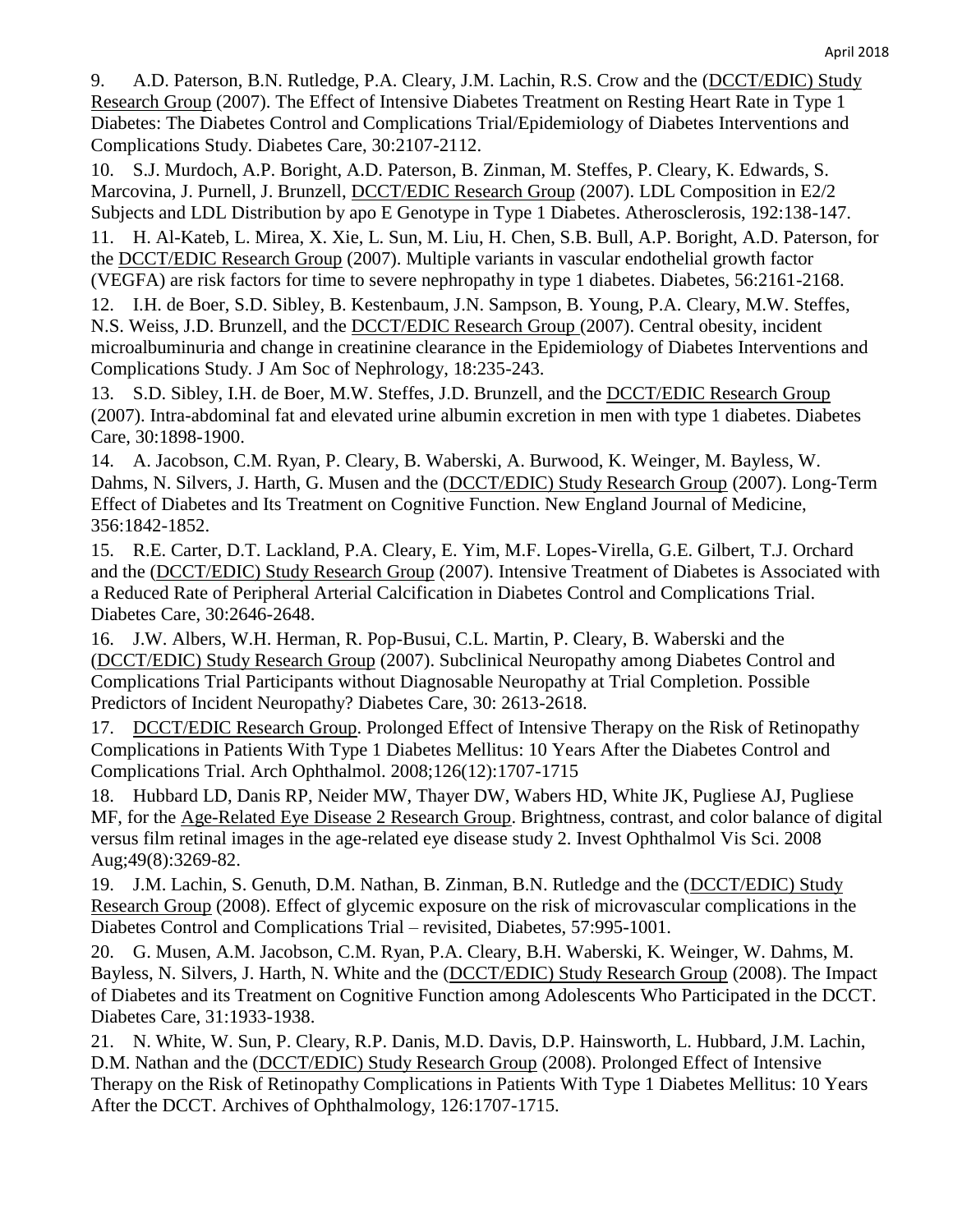9. A.D. Paterson, B.N. Rutledge, P.A. Cleary, J.M. Lachin, R.S. Crow and the (DCCT/EDIC) Study Research Group (2007). The Effect of Intensive Diabetes Treatment on Resting Heart Rate in Type 1 Diabetes: The Diabetes Control and Complications Trial/Epidemiology of Diabetes Interventions and Complications Study. Diabetes Care, 30:2107-2112.

10. S.J. Murdoch, A.P. Boright, A.D. Paterson, B. Zinman, M. Steffes, P. Cleary, K. Edwards, S. Marcovina, J. Purnell, J. Brunzell, DCCT/EDIC Research Group (2007). LDL Composition in E2/2 Subjects and LDL Distribution by apo E Genotype in Type 1 Diabetes. Atherosclerosis, 192:138-147.

11. H. Al-Kateb, L. Mirea, X. Xie, L. Sun, M. Liu, H. Chen, S.B. Bull, A.P. Boright, A.D. Paterson, for the DCCT/EDIC Research Group (2007). Multiple variants in vascular endothelial growth factor (VEGFA) are risk factors for time to severe nephropathy in type 1 diabetes. Diabetes, 56:2161-2168.

12. I.H. de Boer, S.D. Sibley, B. Kestenbaum, J.N. Sampson, B. Young, P.A. Cleary, M.W. Steffes, N.S. Weiss, J.D. Brunzell, and the DCCT/EDIC Research Group (2007). Central obesity, incident microalbuminuria and change in creatinine clearance in the Epidemiology of Diabetes Interventions and Complications Study. J Am Soc of Nephrology, 18:235-243.

13. S.D. Sibley, I.H. de Boer, M.W. Steffes, J.D. Brunzell, and the DCCT/EDIC Research Group (2007). Intra-abdominal fat and elevated urine albumin excretion in men with type 1 diabetes. Diabetes Care, 30:1898-1900.

14. A. Jacobson, C.M. Ryan, P. Cleary, B. Waberski, A. Burwood, K. Weinger, M. Bayless, W. Dahms, N. Silvers, J. Harth, G. Musen and the (DCCT/EDIC) Study Research Group (2007). Long-Term Effect of Diabetes and Its Treatment on Cognitive Function. New England Journal of Medicine, 356:1842-1852.

15. R.E. Carter, D.T. Lackland, P.A. Cleary, E. Yim, M.F. Lopes-Virella, G.E. Gilbert, T.J. Orchard and the (DCCT/EDIC) Study Research Group (2007). Intensive Treatment of Diabetes is Associated with a Reduced Rate of Peripheral Arterial Calcification in Diabetes Control and Complications Trial. Diabetes Care, 30:2646-2648.

16. J.W. Albers, W.H. Herman, R. Pop-Busui, C.L. Martin, P. Cleary, B. Waberski and the (DCCT/EDIC) Study Research Group (2007). Subclinical Neuropathy among Diabetes Control and Complications Trial Participants without Diagnosable Neuropathy at Trial Completion. Possible Predictors of Incident Neuropathy? Diabetes Care, 30: 2613-2618.

17. DCCT/EDIC Research Group. Prolonged Effect of Intensive Therapy on the Risk of Retinopathy Complications in Patients With Type 1 Diabetes Mellitus: 10 Years After the Diabetes Control and Complications Trial. Arch Ophthalmol. 2008;126(12):1707-1715

18. Hubbard LD, Danis RP, Neider MW, Thayer DW, Wabers HD, White JK, Pugliese AJ, Pugliese MF, for the Age-Related Eye Disease 2 Research Group. Brightness, contrast, and color balance of digital versus film retinal images in the age-related eye disease study 2. Invest Ophthalmol Vis Sci. 2008 Aug;49(8):3269-82.

19. J.M. Lachin, S. Genuth, D.M. Nathan, B. Zinman, B.N. Rutledge and the (DCCT/EDIC) Study Research Group (2008). Effect of glycemic exposure on the risk of microvascular complications in the Diabetes Control and Complications Trial – revisited, Diabetes, 57:995-1001.

20. G. Musen, A.M. Jacobson, C.M. Ryan, P.A. Cleary, B.H. Waberski, K. Weinger, W. Dahms, M. Bayless, N. Silvers, J. Harth, N. White and the (DCCT/EDIC) Study Research Group (2008). The Impact of Diabetes and its Treatment on Cognitive Function among Adolescents Who Participated in the DCCT. Diabetes Care, 31:1933-1938.

21. N. White, W. Sun, P. Cleary, R.P. Danis, M.D. Davis, D.P. Hainsworth, L. Hubbard, J.M. Lachin, D.M. Nathan and the (DCCT/EDIC) Study Research Group (2008). Prolonged Effect of Intensive Therapy on the Risk of Retinopathy Complications in Patients With Type 1 Diabetes Mellitus: 10 Years After the DCCT. Archives of Ophthalmology, 126:1707-1715.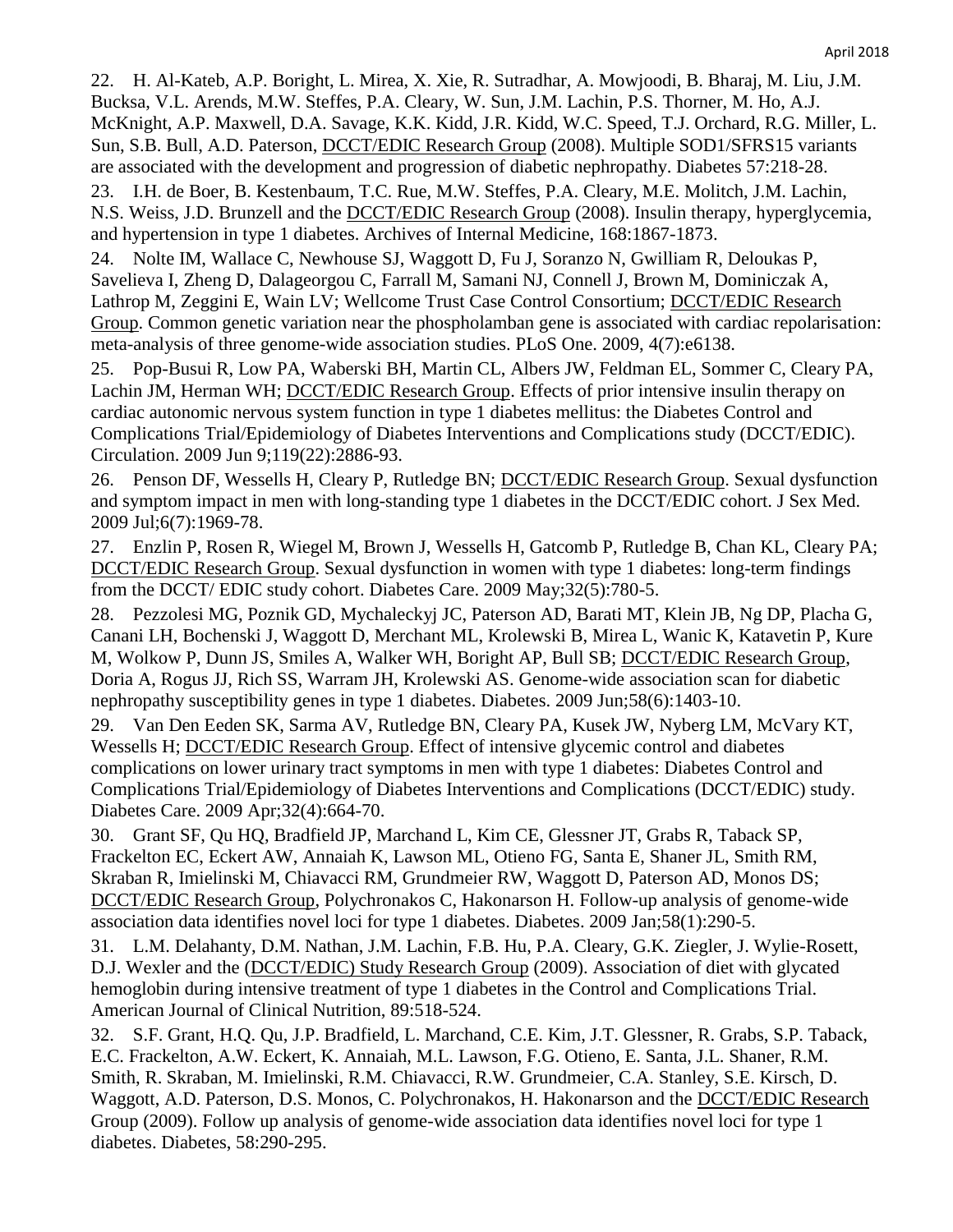22. H. Al-Kateb, A.P. Boright, L. Mirea, X. Xie, R. Sutradhar, A. Mowjoodi, B. Bharaj, M. Liu, J.M. Bucksa, V.L. Arends, M.W. Steffes, P.A. Cleary, W. Sun, J.M. Lachin, P.S. Thorner, M. Ho, A.J. McKnight, A.P. Maxwell, D.A. Savage, K.K. Kidd, J.R. Kidd, W.C. Speed, T.J. Orchard, R.G. Miller, L. Sun, S.B. Bull, A.D. Paterson, **DCCT/EDIC Research Group** (2008). Multiple SOD1/SFRS15 variants are associated with the development and progression of diabetic nephropathy. Diabetes 57:218-28.

23. I.H. de Boer, B. Kestenbaum, T.C. Rue, M.W. Steffes, P.A. Cleary, M.E. Molitch, J.M. Lachin, N.S. Weiss, J.D. Brunzell and the **DCCT/EDIC Research Group** (2008). Insulin therapy, hyperglycemia, and hypertension in type 1 diabetes. Archives of Internal Medicine, 168:1867-1873.

24. Nolte IM, Wallace C, Newhouse SJ, Waggott D, Fu J, Soranzo N, Gwilliam R, Deloukas P, Savelieva I, Zheng D, Dalageorgou C, Farrall M, Samani NJ, Connell J, Brown M, Dominiczak A, Lathrop M, Zeggini E, Wain LV; Wellcome Trust Case Control Consortium; DCCT/EDIC Research Group. Common genetic variation near the phospholamban gene is associated with cardiac repolarisation: meta-analysis of three genome-wide association studies. PLoS One. 2009, 4(7):e6138.

25. Pop-Busui R, Low PA, Waberski BH, Martin CL, Albers JW, Feldman EL, Sommer C, Cleary PA, Lachin JM, Herman WH; **DCCT/EDIC Research Group**. Effects of prior intensive insulin therapy on cardiac autonomic nervous system function in type 1 diabetes mellitus: the Diabetes Control and Complications Trial/Epidemiology of Diabetes Interventions and Complications study (DCCT/EDIC). Circulation. 2009 Jun 9;119(22):2886-93.

26. Penson DF, Wessells H, Cleary P, Rutledge BN; DCCT/EDIC Research Group. Sexual dysfunction and symptom impact in men with long-standing type 1 diabetes in the DCCT/EDIC cohort. J Sex Med. 2009 Jul;6(7):1969-78.

27. Enzlin P, Rosen R, Wiegel M, Brown J, Wessells H, Gatcomb P, Rutledge B, Chan KL, Cleary PA; DCCT/EDIC Research Group. Sexual dysfunction in women with type 1 diabetes: long-term findings from the DCCT/ EDIC study cohort. Diabetes Care. 2009 May;32(5):780-5.

28. Pezzolesi MG, Poznik GD, Mychaleckyj JC, Paterson AD, Barati MT, Klein JB, Ng DP, Placha G, Canani LH, Bochenski J, Waggott D, Merchant ML, Krolewski B, Mirea L, Wanic K, Katavetin P, Kure M, Wolkow P, Dunn JS, Smiles A, Walker WH, Boright AP, Bull SB; DCCT/EDIC Research Group, Doria A, Rogus JJ, Rich SS, Warram JH, Krolewski AS. Genome-wide association scan for diabetic nephropathy susceptibility genes in type 1 diabetes. Diabetes. 2009 Jun;58(6):1403-10.

29. Van Den Eeden SK, Sarma AV, Rutledge BN, Cleary PA, Kusek JW, Nyberg LM, McVary KT, Wessells H; DCCT/EDIC Research Group. Effect of intensive glycemic control and diabetes complications on lower urinary tract symptoms in men with type 1 diabetes: Diabetes Control and Complications Trial/Epidemiology of Diabetes Interventions and Complications (DCCT/EDIC) study. Diabetes Care. 2009 Apr;32(4):664-70.

30. Grant SF, Qu HQ, Bradfield JP, Marchand L, Kim CE, Glessner JT, Grabs R, Taback SP, Frackelton EC, Eckert AW, Annaiah K, Lawson ML, Otieno FG, Santa E, Shaner JL, Smith RM, Skraban R, Imielinski M, Chiavacci RM, Grundmeier RW, Waggott D, Paterson AD, Monos DS; DCCT/EDIC Research Group, Polychronakos C, Hakonarson H. Follow-up analysis of genome-wide association data identifies novel loci for type 1 diabetes. Diabetes. 2009 Jan;58(1):290-5.

31. L.M. Delahanty, D.M. Nathan, J.M. Lachin, F.B. Hu, P.A. Cleary, G.K. Ziegler, J. Wylie-Rosett, D.J. Wexler and the (DCCT/EDIC) Study Research Group (2009). Association of diet with glycated hemoglobin during intensive treatment of type 1 diabetes in the Control and Complications Trial. American Journal of Clinical Nutrition, 89:518-524.

32. S.F. Grant, H.Q. Qu, J.P. Bradfield, L. Marchand, C.E. Kim, J.T. Glessner, R. Grabs, S.P. Taback, E.C. Frackelton, A.W. Eckert, K. Annaiah, M.L. Lawson, F.G. Otieno, E. Santa, J.L. Shaner, R.M. Smith, R. Skraban, M. Imielinski, R.M. Chiavacci, R.W. Grundmeier, C.A. Stanley, S.E. Kirsch, D. Waggott, A.D. Paterson, D.S. Monos, C. Polychronakos, H. Hakonarson and the DCCT/EDIC Research Group (2009). Follow up analysis of genome-wide association data identifies novel loci for type 1 diabetes. Diabetes, 58:290-295.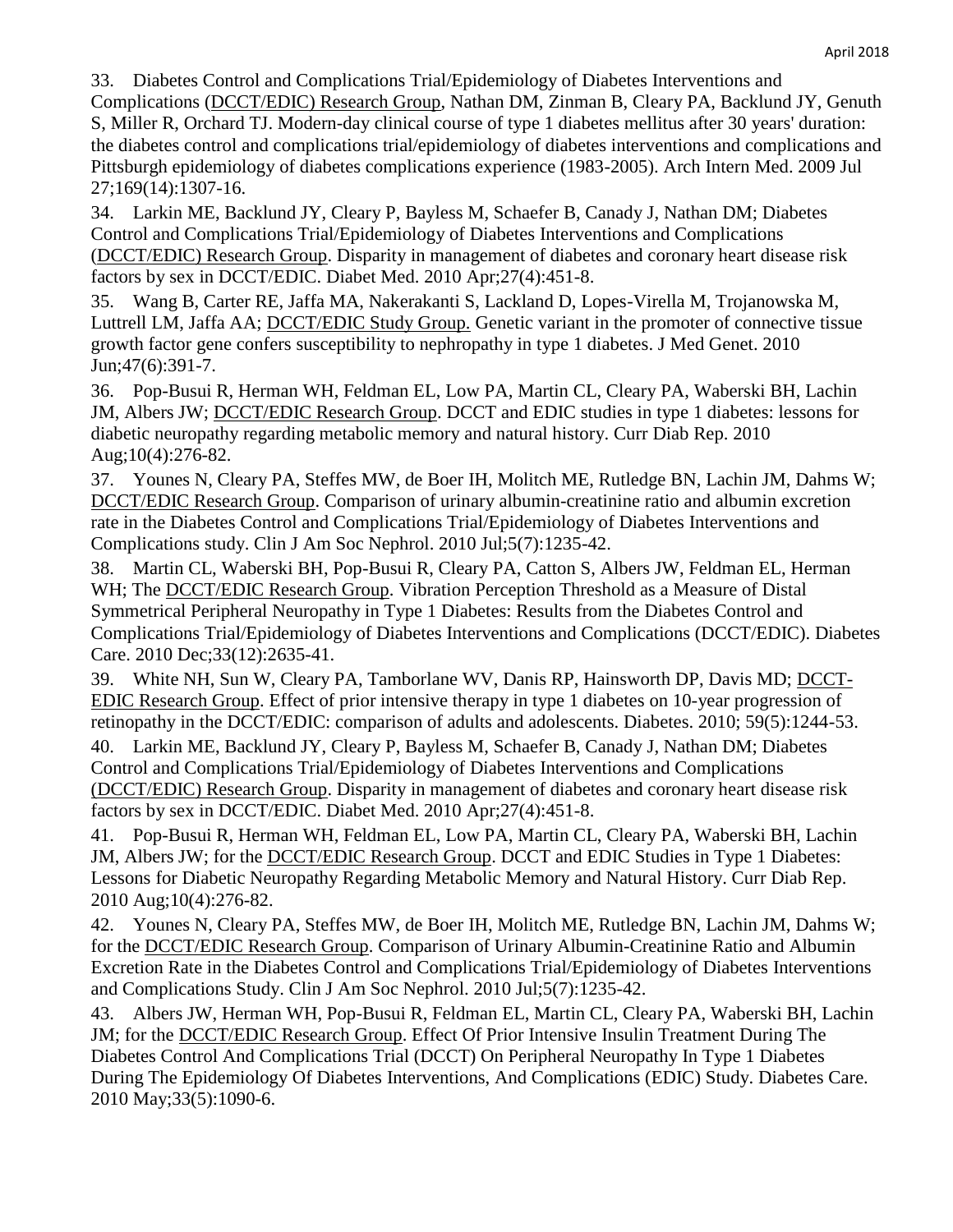33. Diabetes Control and Complications Trial/Epidemiology of Diabetes Interventions and

Complications (DCCT/EDIC) Research Group, Nathan DM, Zinman B, Cleary PA, Backlund JY, Genuth S, Miller R, Orchard TJ. Modern-day clinical course of type 1 diabetes mellitus after 30 years' duration: the diabetes control and complications trial/epidemiology of diabetes interventions and complications and Pittsburgh epidemiology of diabetes complications experience (1983-2005). Arch Intern Med. 2009 Jul 27;169(14):1307-16.

34. Larkin ME, Backlund JY, Cleary P, Bayless M, Schaefer B, Canady J, Nathan DM; Diabetes Control and Complications Trial/Epidemiology of Diabetes Interventions and Complications (DCCT/EDIC) Research Group. Disparity in management of diabetes and coronary heart disease risk factors by sex in DCCT/EDIC. Diabet Med. 2010 Apr;27(4):451-8.

35. Wang B, Carter RE, Jaffa MA, Nakerakanti S, Lackland D, Lopes-Virella M, Trojanowska M, Luttrell LM, Jaffa AA; DCCT/EDIC Study Group. Genetic variant in the promoter of connective tissue growth factor gene confers susceptibility to nephropathy in type 1 diabetes. J Med Genet. 2010 Jun;47(6):391-7.

36. Pop-Busui R, Herman WH, Feldman EL, Low PA, Martin CL, Cleary PA, Waberski BH, Lachin JM, Albers JW; DCCT/EDIC Research Group. DCCT and EDIC studies in type 1 diabetes: lessons for diabetic neuropathy regarding metabolic memory and natural history. Curr Diab Rep. 2010 Aug;10(4):276-82.

37. Younes N, Cleary PA, Steffes MW, de Boer IH, Molitch ME, Rutledge BN, Lachin JM, Dahms W; DCCT/EDIC Research Group. Comparison of urinary albumin-creatinine ratio and albumin excretion rate in the Diabetes Control and Complications Trial/Epidemiology of Diabetes Interventions and Complications study. Clin J Am Soc Nephrol. 2010 Jul;5(7):1235-42.

38. Martin CL, Waberski BH, Pop-Busui R, Cleary PA, Catton S, Albers JW, Feldman EL, Herman WH; The **DCCT/EDIC Research Group.** Vibration Perception Threshold as a Measure of Distal Symmetrical Peripheral Neuropathy in Type 1 Diabetes: Results from the Diabetes Control and Complications Trial/Epidemiology of Diabetes Interventions and Complications (DCCT/EDIC). Diabetes Care. 2010 Dec;33(12):2635-41.

39. White NH, Sun W, Cleary PA, Tamborlane WV, Danis RP, Hainsworth DP, Davis MD; DCCT-EDIC Research Group. Effect of prior intensive therapy in type 1 diabetes on 10-year progression of retinopathy in the DCCT/EDIC: comparison of adults and adolescents. Diabetes. 2010; 59(5):1244-53.

40. Larkin ME, Backlund JY, Cleary P, Bayless M, Schaefer B, Canady J, Nathan DM; Diabetes Control and Complications Trial/Epidemiology of Diabetes Interventions and Complications (DCCT/EDIC) Research Group. Disparity in management of diabetes and coronary heart disease risk factors by sex in DCCT/EDIC. Diabet Med. 2010 Apr;27(4):451-8.

41. Pop-Busui R, Herman WH, Feldman EL, Low PA, Martin CL, Cleary PA, Waberski BH, Lachin JM, Albers JW; for the DCCT/EDIC Research Group. DCCT and EDIC Studies in Type 1 Diabetes: Lessons for Diabetic Neuropathy Regarding Metabolic Memory and Natural History. Curr Diab Rep. 2010 Aug;10(4):276-82.

42. Younes N, Cleary PA, Steffes MW, de Boer IH, Molitch ME, Rutledge BN, Lachin JM, Dahms W; for the DCCT/EDIC Research Group. Comparison of Urinary Albumin-Creatinine Ratio and Albumin Excretion Rate in the Diabetes Control and Complications Trial/Epidemiology of Diabetes Interventions and Complications Study. Clin J Am Soc Nephrol. 2010 Jul;5(7):1235-42.

43. Albers JW, Herman WH, Pop-Busui R, Feldman EL, Martin CL, Cleary PA, Waberski BH, Lachin JM; for the DCCT/EDIC Research Group. Effect Of Prior Intensive Insulin Treatment During The Diabetes Control And Complications Trial (DCCT) On Peripheral Neuropathy In Type 1 Diabetes During The Epidemiology Of Diabetes Interventions, And Complications (EDIC) Study. Diabetes Care. 2010 May;33(5):1090-6.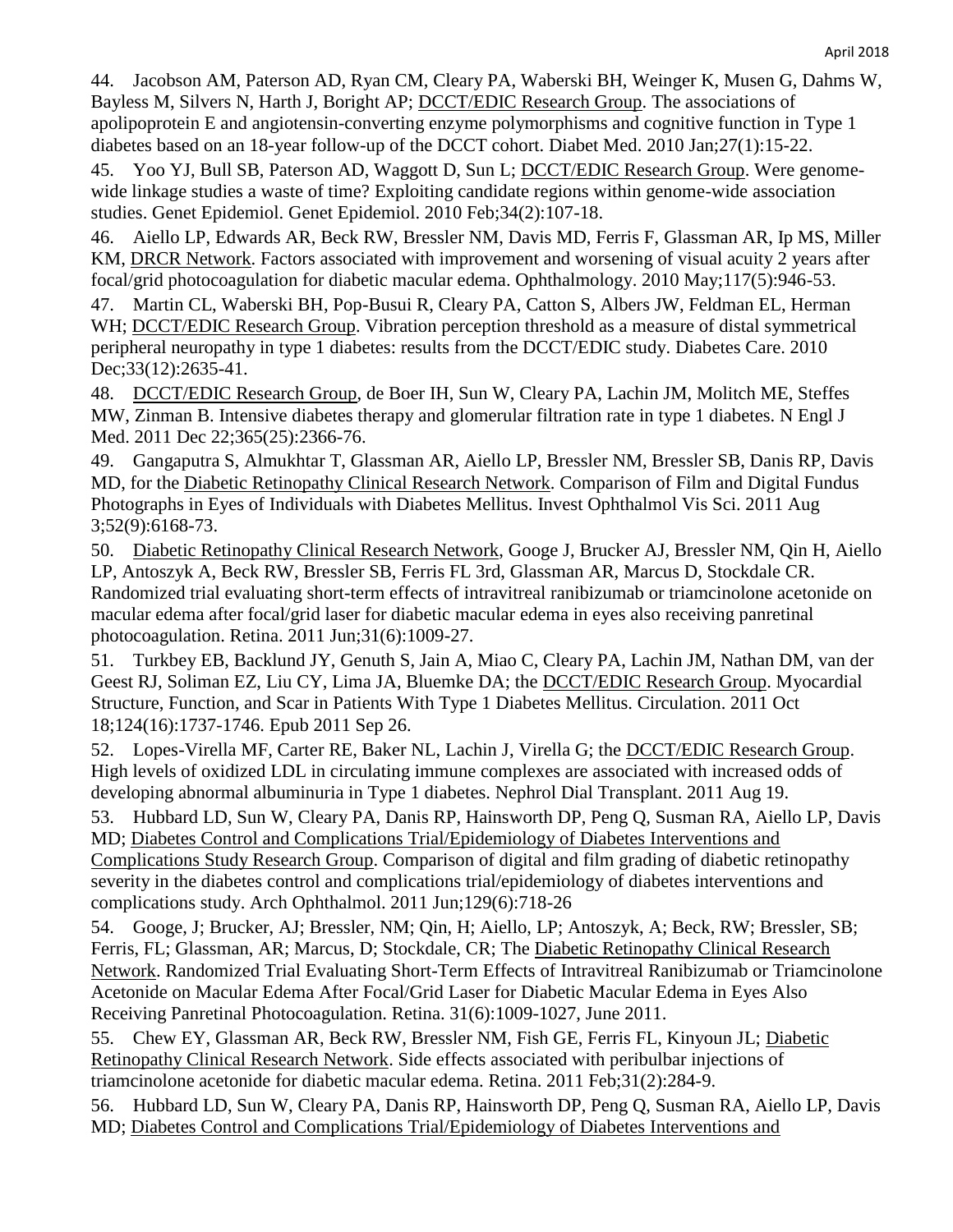44. Jacobson AM, Paterson AD, Ryan CM, Cleary PA, Waberski BH, Weinger K, Musen G, Dahms W, Bayless M, Silvers N, Harth J, Boright AP; DCCT/EDIC Research Group. The associations of apolipoprotein E and angiotensin-converting enzyme polymorphisms and cognitive function in Type 1 diabetes based on an 18-year follow-up of the DCCT cohort. Diabet Med. 2010 Jan;27(1):15-22.

45. Yoo YJ, Bull SB, Paterson AD, Waggott D, Sun L; DCCT/EDIC Research Group. Were genomewide linkage studies a waste of time? Exploiting candidate regions within genome-wide association studies. Genet Epidemiol. Genet Epidemiol. 2010 Feb;34(2):107-18.

46. Aiello LP, Edwards AR, Beck RW, Bressler NM, Davis MD, Ferris F, Glassman AR, Ip MS, Miller KM, DRCR Network. Factors associated with improvement and worsening of visual acuity 2 years after focal/grid photocoagulation for diabetic macular edema. Ophthalmology. 2010 May;117(5):946-53.

47. Martin CL, Waberski BH, Pop-Busui R, Cleary PA, Catton S, Albers JW, Feldman EL, Herman WH; DCCT/EDIC Research Group. Vibration perception threshold as a measure of distal symmetrical peripheral neuropathy in type 1 diabetes: results from the DCCT/EDIC study. Diabetes Care. 2010 Dec;33(12):2635-41.

48. DCCT/EDIC Research Group, de Boer IH, Sun W, Cleary PA, Lachin JM, Molitch ME, Steffes MW, Zinman B. Intensive diabetes therapy and glomerular filtration rate in type 1 diabetes. N Engl J Med. 2011 Dec 22;365(25):2366-76.

49. Gangaputra S, Almukhtar T, Glassman AR, Aiello LP, Bressler NM, Bressler SB, Danis RP, Davis MD, for the Diabetic Retinopathy Clinical Research Network. Comparison of Film and Digital Fundus Photographs in Eyes of Individuals with Diabetes Mellitus. Invest Ophthalmol Vis Sci. 2011 Aug 3;52(9):6168-73.

50. Diabetic Retinopathy Clinical Research Network, Googe J, Brucker AJ, Bressler NM, Qin H, Aiello LP, Antoszyk A, Beck RW, Bressler SB, Ferris FL 3rd, Glassman AR, Marcus D, Stockdale CR. Randomized trial evaluating short-term effects of intravitreal ranibizumab or triamcinolone acetonide on macular edema after focal/grid laser for diabetic macular edema in eyes also receiving panretinal photocoagulation. Retina. 2011 Jun;31(6):1009-27.

51. Turkbey EB, Backlund JY, Genuth S, Jain A, Miao C, Cleary PA, Lachin JM, Nathan DM, van der Geest RJ, Soliman EZ, Liu CY, Lima JA, Bluemke DA; the DCCT/EDIC Research Group. Myocardial Structure, Function, and Scar in Patients With Type 1 Diabetes Mellitus. Circulation. 2011 Oct 18;124(16):1737-1746. Epub 2011 Sep 26.

52. Lopes-Virella MF, Carter RE, Baker NL, Lachin J, Virella G; the DCCT/EDIC Research Group. High levels of oxidized LDL in circulating immune complexes are associated with increased odds of developing abnormal albuminuria in Type 1 diabetes. Nephrol Dial Transplant. 2011 Aug 19.

53. Hubbard LD, Sun W, Cleary PA, Danis RP, Hainsworth DP, Peng Q, Susman RA, Aiello LP, Davis MD; Diabetes Control and Complications Trial/Epidemiology of Diabetes Interventions and

Complications Study Research Group. Comparison of digital and film grading of diabetic retinopathy severity in the diabetes control and complications trial/epidemiology of diabetes interventions and complications study. Arch Ophthalmol. 2011 Jun;129(6):718-26

54. Googe, J; Brucker, AJ; Bressler, NM; Qin, H; Aiello, LP; Antoszyk, A; Beck, RW; Bressler, SB; Ferris, FL; Glassman, AR; Marcus, D; Stockdale, CR; The Diabetic Retinopathy Clinical Research Network. Randomized Trial Evaluating Short-Term Effects of Intravitreal Ranibizumab or Triamcinolone Acetonide on Macular Edema After Focal/Grid Laser for Diabetic Macular Edema in Eyes Also Receiving Panretinal Photocoagulation. Retina. 31(6):1009-1027, June 2011.

55. Chew EY, Glassman AR, Beck RW, Bressler NM, Fish GE, Ferris FL, Kinyoun JL; Diabetic Retinopathy Clinical Research Network. Side effects associated with peribulbar injections of triamcinolone acetonide for diabetic macular edema. Retina. 2011 Feb;31(2):284-9.

56. Hubbard LD, Sun W, Cleary PA, Danis RP, Hainsworth DP, Peng Q, Susman RA, Aiello LP, Davis MD; Diabetes Control and Complications Trial/Epidemiology of Diabetes Interventions and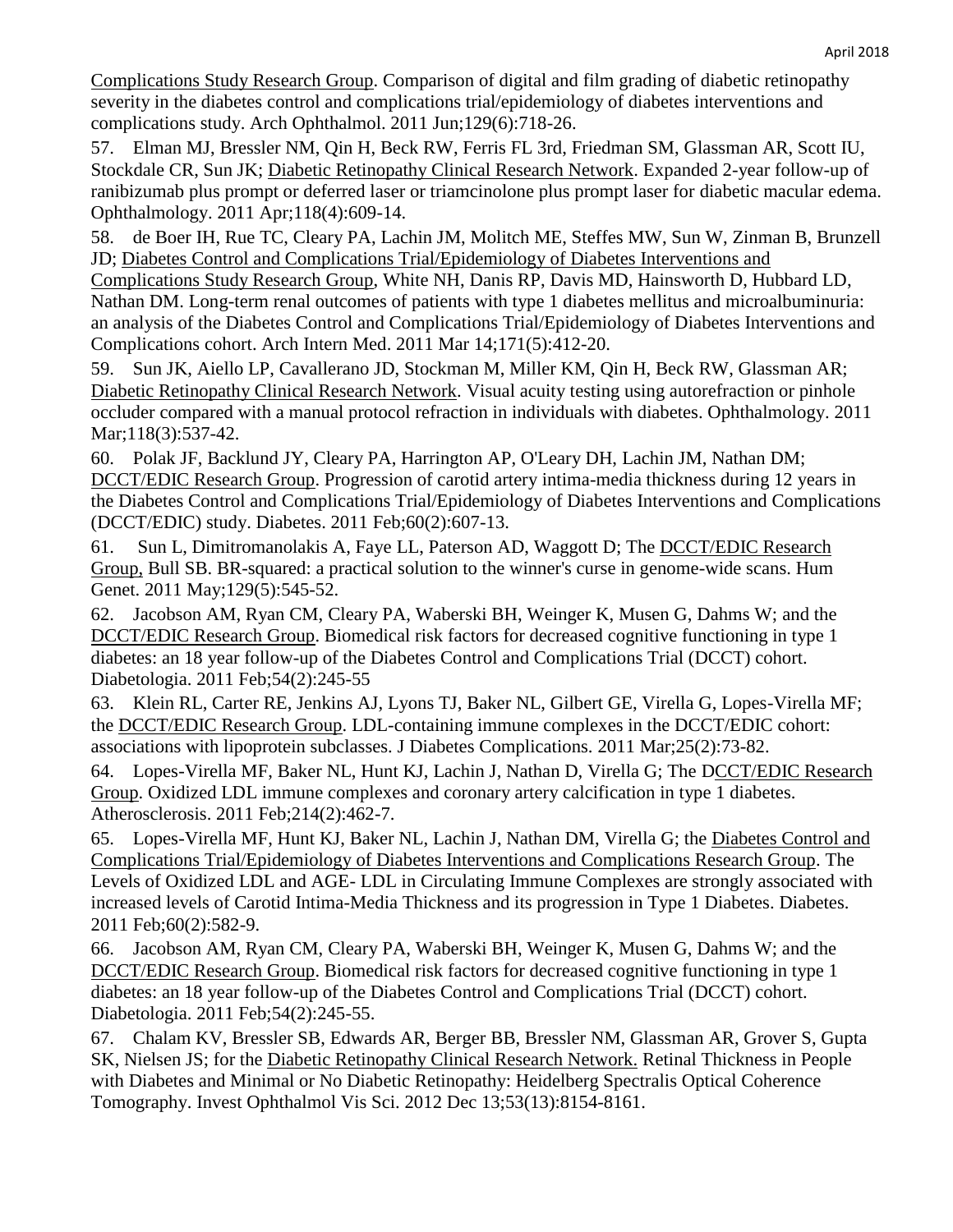Complications Study Research Group. Comparison of digital and film grading of diabetic retinopathy severity in the diabetes control and complications trial/epidemiology of diabetes interventions and complications study. Arch Ophthalmol. 2011 Jun;129(6):718-26.

57. Elman MJ, Bressler NM, Qin H, Beck RW, Ferris FL 3rd, Friedman SM, Glassman AR, Scott IU, Stockdale CR, Sun JK; Diabetic Retinopathy Clinical Research Network. Expanded 2-year follow-up of ranibizumab plus prompt or deferred laser or triamcinolone plus prompt laser for diabetic macular edema. Ophthalmology. 2011 Apr;118(4):609-14.

58. de Boer IH, Rue TC, Cleary PA, Lachin JM, Molitch ME, Steffes MW, Sun W, Zinman B, Brunzell JD; Diabetes Control and Complications Trial/Epidemiology of Diabetes Interventions and

Complications Study Research Group, White NH, Danis RP, Davis MD, Hainsworth D, Hubbard LD, Nathan DM. Long-term renal outcomes of patients with type 1 diabetes mellitus and microalbuminuria: an analysis of the Diabetes Control and Complications Trial/Epidemiology of Diabetes Interventions and Complications cohort. Arch Intern Med. 2011 Mar 14;171(5):412-20.

59. Sun JK, Aiello LP, Cavallerano JD, Stockman M, Miller KM, Qin H, Beck RW, Glassman AR; Diabetic Retinopathy Clinical Research Network. Visual acuity testing using autorefraction or pinhole occluder compared with a manual protocol refraction in individuals with diabetes. Ophthalmology. 2011 Mar;118(3):537-42.

60. Polak JF, Backlund JY, Cleary PA, Harrington AP, O'Leary DH, Lachin JM, Nathan DM; DCCT/EDIC Research Group. Progression of carotid artery intima-media thickness during 12 years in the Diabetes Control and Complications Trial/Epidemiology of Diabetes Interventions and Complications (DCCT/EDIC) study. Diabetes. 2011 Feb;60(2):607-13.

61. Sun L, Dimitromanolakis A, Faye LL, Paterson AD, Waggott D; The DCCT/EDIC Research Group, Bull SB. BR-squared: a practical solution to the winner's curse in genome-wide scans. Hum Genet. 2011 May;129(5):545-52.

62. Jacobson AM, Ryan CM, Cleary PA, Waberski BH, Weinger K, Musen G, Dahms W; and the DCCT/EDIC Research Group. Biomedical risk factors for decreased cognitive functioning in type 1 diabetes: an 18 year follow-up of the Diabetes Control and Complications Trial (DCCT) cohort. Diabetologia. 2011 Feb;54(2):245-55

63. Klein RL, Carter RE, Jenkins AJ, Lyons TJ, Baker NL, Gilbert GE, Virella G, Lopes-Virella MF; the DCCT/EDIC Research Group. LDL-containing immune complexes in the DCCT/EDIC cohort: associations with lipoprotein subclasses. J Diabetes Complications. 2011 Mar;25(2):73-82.

64. Lopes-Virella MF, Baker NL, Hunt KJ, Lachin J, Nathan D, Virella G; The DCCT/EDIC Research Group. Oxidized LDL immune complexes and coronary artery calcification in type 1 diabetes. Atherosclerosis. 2011 Feb;214(2):462-7.

65. Lopes-Virella MF, Hunt KJ, Baker NL, Lachin J, Nathan DM, Virella G; the Diabetes Control and Complications Trial/Epidemiology of Diabetes Interventions and Complications Research Group. The Levels of Oxidized LDL and AGE- LDL in Circulating Immune Complexes are strongly associated with increased levels of Carotid Intima-Media Thickness and its progression in Type 1 Diabetes. Diabetes. 2011 Feb;60(2):582-9.

66. Jacobson AM, Ryan CM, Cleary PA, Waberski BH, Weinger K, Musen G, Dahms W; and the DCCT/EDIC Research Group. Biomedical risk factors for decreased cognitive functioning in type 1 diabetes: an 18 year follow-up of the Diabetes Control and Complications Trial (DCCT) cohort. Diabetologia. 2011 Feb;54(2):245-55.

67. Chalam KV, Bressler SB, Edwards AR, Berger BB, Bressler NM, Glassman AR, Grover S, Gupta SK, Nielsen JS; for the Diabetic Retinopathy Clinical Research Network. Retinal Thickness in People with Diabetes and Minimal or No Diabetic Retinopathy: Heidelberg Spectralis Optical Coherence Tomography. Invest Ophthalmol Vis Sci. 2012 Dec 13;53(13):8154-8161.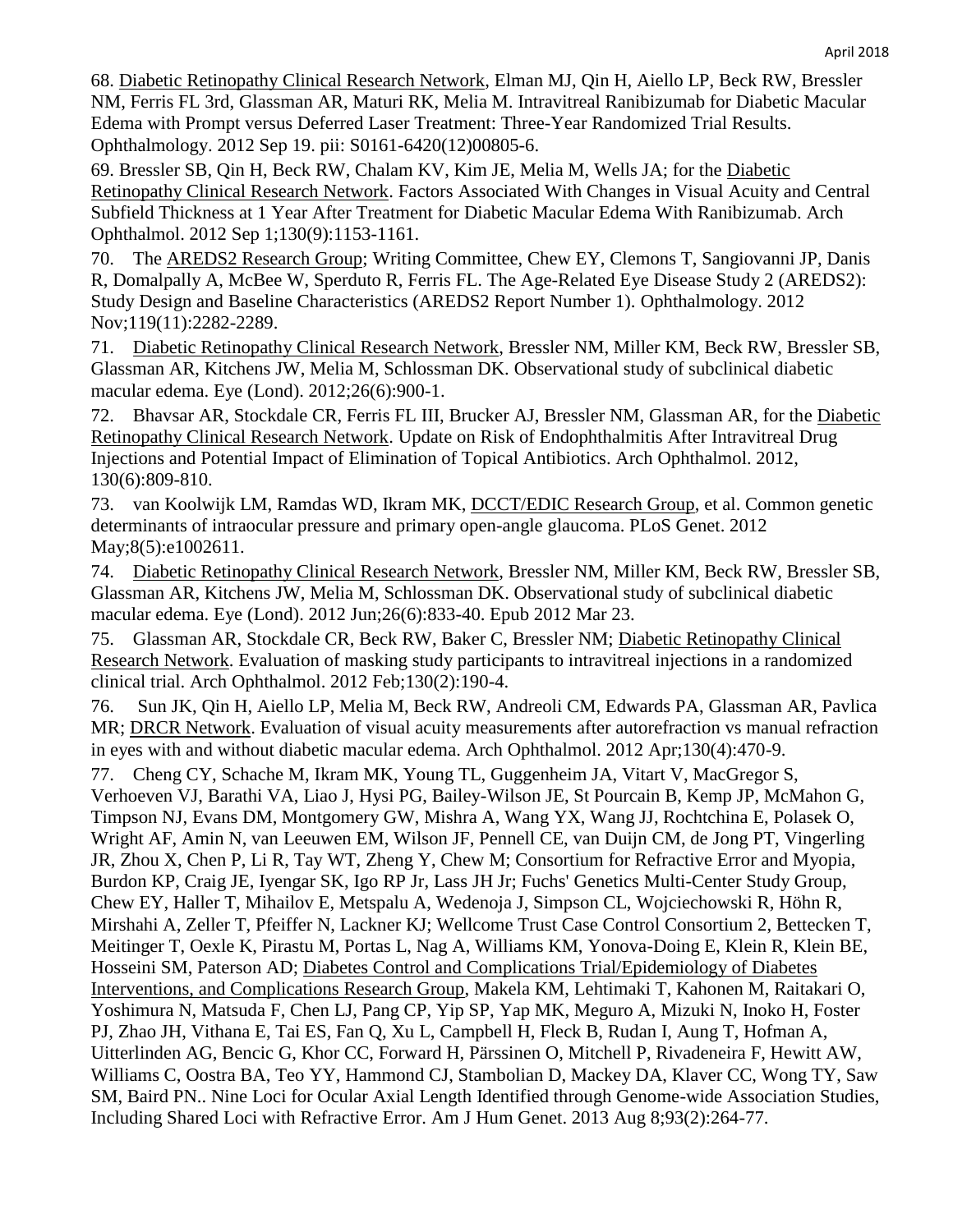68. Diabetic Retinopathy Clinical Research Network, Elman MJ, Qin H, Aiello LP, Beck RW, Bressler NM, Ferris FL 3rd, Glassman AR, Maturi RK, Melia M. Intravitreal Ranibizumab for Diabetic Macular Edema with Prompt versus Deferred Laser Treatment: Three-Year Randomized Trial Results. Ophthalmology. 2012 Sep 19. pii: S0161-6420(12)00805-6.

69. Bressler SB, Qin H, Beck RW, Chalam KV, Kim JE, Melia M, Wells JA; for the Diabetic Retinopathy Clinical Research Network. Factors Associated With Changes in Visual Acuity and Central Subfield Thickness at 1 Year After Treatment for Diabetic Macular Edema With Ranibizumab. Arch Ophthalmol. 2012 Sep 1;130(9):1153-1161.

70. The AREDS2 Research Group; Writing Committee, Chew EY, Clemons T, Sangiovanni JP, Danis R, Domalpally A, McBee W, Sperduto R, Ferris FL. The Age-Related Eye Disease Study 2 (AREDS2): Study Design and Baseline Characteristics (AREDS2 Report Number 1). Ophthalmology. 2012 Nov;119(11):2282-2289.

71. Diabetic Retinopathy Clinical Research Network, Bressler NM, Miller KM, Beck RW, Bressler SB, Glassman AR, Kitchens JW, Melia M, Schlossman DK. Observational study of subclinical diabetic macular edema. Eye (Lond). 2012;26(6):900-1.

72. Bhavsar AR, Stockdale CR, Ferris FL III, Brucker AJ, Bressler NM, Glassman AR, for the Diabetic Retinopathy Clinical Research Network. Update on Risk of Endophthalmitis After Intravitreal Drug Injections and Potential Impact of Elimination of Topical Antibiotics. Arch Ophthalmol. 2012, 130(6):809-810.

73. van Koolwijk LM, Ramdas WD, Ikram MK, DCCT/EDIC Research Group, et al. Common genetic determinants of intraocular pressure and primary open-angle glaucoma. PLoS Genet. 2012 May;8(5):e1002611.

74. Diabetic Retinopathy Clinical Research Network, Bressler NM, Miller KM, Beck RW, Bressler SB, Glassman AR, Kitchens JW, Melia M, Schlossman DK. Observational study of subclinical diabetic macular edema. Eye (Lond). 2012 Jun;26(6):833-40. Epub 2012 Mar 23.

75. Glassman AR, Stockdale CR, Beck RW, Baker C, Bressler NM; Diabetic Retinopathy Clinical Research Network. Evaluation of masking study participants to intravitreal injections in a randomized clinical trial. Arch Ophthalmol. 2012 Feb;130(2):190-4.

76. Sun JK, Qin H, Aiello LP, Melia M, Beck RW, Andreoli CM, Edwards PA, Glassman AR, Pavlica MR; DRCR Network. Evaluation of visual acuity measurements after autorefraction vs manual refraction in eyes with and without diabetic macular edema. Arch Ophthalmol. 2012 Apr;130(4):470-9.

77. Cheng CY, Schache M, Ikram MK, Young TL, Guggenheim JA, Vitart V, MacGregor S, Verhoeven VJ, Barathi VA, Liao J, Hysi PG, Bailey-Wilson JE, St Pourcain B, Kemp JP, McMahon G, Timpson NJ, Evans DM, Montgomery GW, Mishra A, Wang YX, Wang JJ, Rochtchina E, Polasek O, Wright AF, Amin N, van Leeuwen EM, Wilson JF, Pennell CE, van Duijn CM, de Jong PT, Vingerling JR, Zhou X, Chen P, Li R, Tay WT, Zheng Y, Chew M; Consortium for Refractive Error and Myopia, Burdon KP, Craig JE, Iyengar SK, Igo RP Jr, Lass JH Jr; Fuchs' Genetics Multi-Center Study Group, Chew EY, Haller T, Mihailov E, Metspalu A, Wedenoja J, Simpson CL, Wojciechowski R, Höhn R, Mirshahi A, Zeller T, Pfeiffer N, Lackner KJ; Wellcome Trust Case Control Consortium 2, Bettecken T, Meitinger T, Oexle K, Pirastu M, Portas L, Nag A, Williams KM, Yonova-Doing E, Klein R, Klein BE, Hosseini SM, Paterson AD; Diabetes Control and Complications Trial/Epidemiology of Diabetes Interventions, and Complications Research Group, Makela KM, Lehtimaki T, Kahonen M, Raitakari O, Yoshimura N, Matsuda F, Chen LJ, Pang CP, Yip SP, Yap MK, Meguro A, Mizuki N, Inoko H, Foster PJ, Zhao JH, Vithana E, Tai ES, Fan Q, Xu L, Campbell H, Fleck B, Rudan I, Aung T, Hofman A, Uitterlinden AG, Bencic G, Khor CC, Forward H, Pärssinen O, Mitchell P, Rivadeneira F, Hewitt AW, Williams C, Oostra BA, Teo YY, Hammond CJ, Stambolian D, Mackey DA, Klaver CC, Wong TY, Saw SM, Baird PN.. Nine Loci for Ocular Axial Length Identified through Genome-wide Association Studies, Including Shared Loci with Refractive Error. Am J Hum Genet. 2013 Aug 8;93(2):264-77.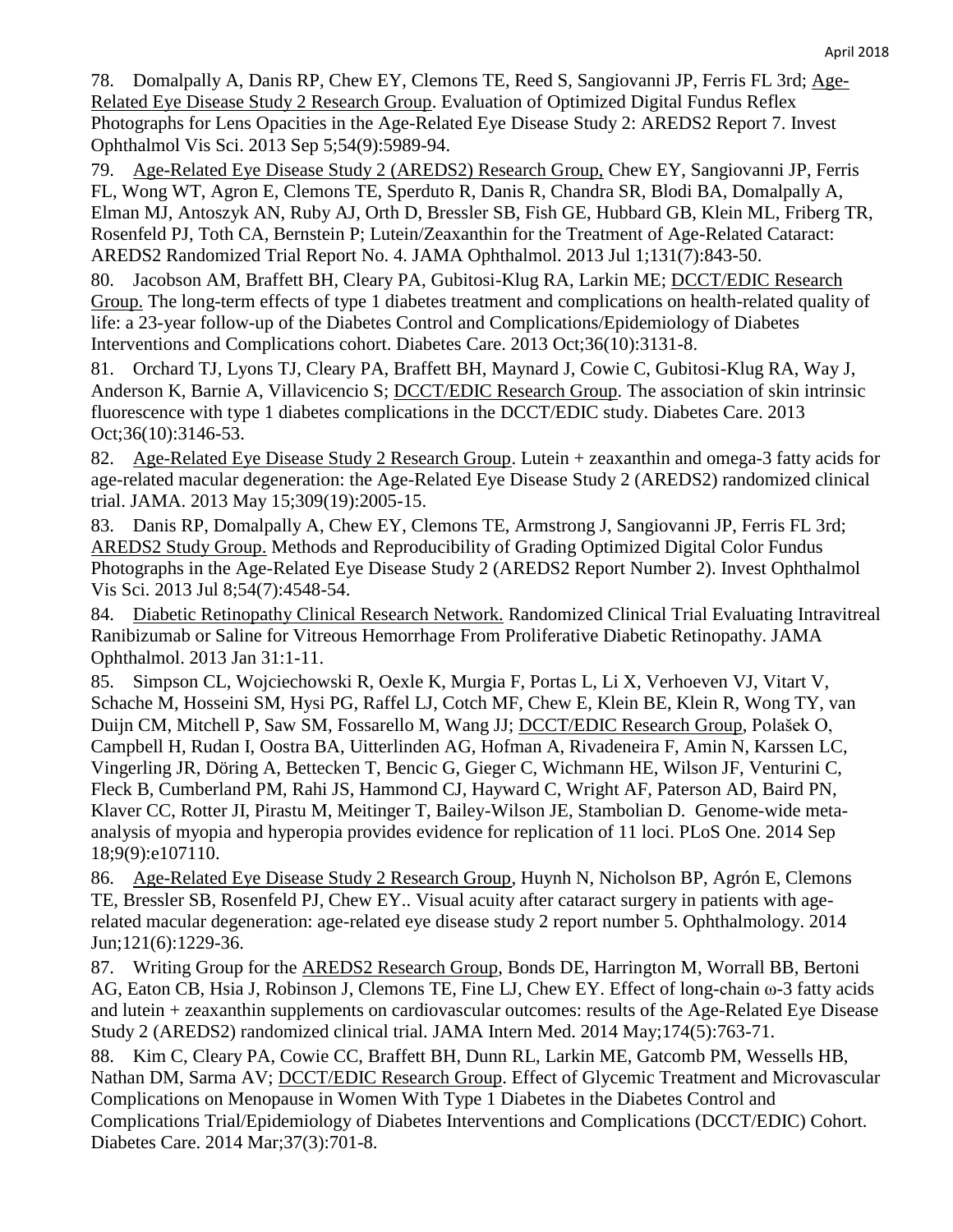78. Domalpally A, Danis RP, Chew EY, Clemons TE, Reed S, Sangiovanni JP, Ferris FL 3rd; Age-Related Eye Disease Study 2 Research Group. Evaluation of Optimized Digital Fundus Reflex Photographs for Lens Opacities in the Age-Related Eye Disease Study 2: AREDS2 Report 7. Invest Ophthalmol Vis Sci. 2013 Sep 5;54(9):5989-94.

79. Age-Related Eye Disease Study 2 (AREDS2) Research Group, Chew EY, Sangiovanni JP, Ferris FL, Wong WT, Agron E, Clemons TE, Sperduto R, Danis R, Chandra SR, Blodi BA, Domalpally A, Elman MJ, Antoszyk AN, Ruby AJ, Orth D, Bressler SB, Fish GE, Hubbard GB, Klein ML, Friberg TR, Rosenfeld PJ, Toth CA, Bernstein P; Lutein/Zeaxanthin for the Treatment of Age-Related Cataract: AREDS2 Randomized Trial Report No. 4. JAMA Ophthalmol. 2013 Jul 1;131(7):843-50.

80. Jacobson AM, Braffett BH, Cleary PA, Gubitosi-Klug RA, Larkin ME; DCCT/EDIC Research Group. The long-term effects of type 1 diabetes treatment and complications on health-related quality of life: a 23-year follow-up of the Diabetes Control and Complications/Epidemiology of Diabetes Interventions and Complications cohort. Diabetes Care. 2013 Oct;36(10):3131-8.

81. Orchard TJ, Lyons TJ, Cleary PA, Braffett BH, Maynard J, Cowie C, Gubitosi-Klug RA, Way J, Anderson K, Barnie A, Villavicencio S; DCCT/EDIC Research Group. The association of skin intrinsic fluorescence with type 1 diabetes complications in the DCCT/EDIC study. Diabetes Care. 2013 Oct;36(10):3146-53.

82. Age-Related Eye Disease Study 2 Research Group. Lutein + zeaxanthin and omega-3 fatty acids for age-related macular degeneration: the Age-Related Eye Disease Study 2 (AREDS2) randomized clinical trial. JAMA. 2013 May 15;309(19):2005-15.

83. Danis RP, Domalpally A, Chew EY, Clemons TE, Armstrong J, Sangiovanni JP, Ferris FL 3rd; AREDS2 Study Group. Methods and Reproducibility of Grading Optimized Digital Color Fundus Photographs in the Age-Related Eye Disease Study 2 (AREDS2 Report Number 2). Invest Ophthalmol Vis Sci. 2013 Jul 8;54(7):4548-54.

84. Diabetic Retinopathy Clinical Research Network. Randomized Clinical Trial Evaluating Intravitreal Ranibizumab or Saline for Vitreous Hemorrhage From Proliferative Diabetic Retinopathy. JAMA Ophthalmol. 2013 Jan 31:1-11.

85. Simpson CL, Wojciechowski R, Oexle K, Murgia F, Portas L, Li X, Verhoeven VJ, Vitart V, Schache M, Hosseini SM, Hysi PG, Raffel LJ, Cotch MF, Chew E, Klein BE, Klein R, Wong TY, van Duijn CM, Mitchell P, Saw SM, Fossarello M, Wang JJ; DCCT/EDIC Research Group, Polašek O, Campbell H, Rudan I, Oostra BA, Uitterlinden AG, Hofman A, Rivadeneira F, Amin N, Karssen LC, Vingerling JR, Döring A, Bettecken T, Bencic G, Gieger C, Wichmann HE, Wilson JF, Venturini C, Fleck B, Cumberland PM, Rahi JS, Hammond CJ, Hayward C, Wright AF, Paterson AD, Baird PN, Klaver CC, Rotter JI, Pirastu M, Meitinger T, Bailey-Wilson JE, Stambolian D. Genome-wide metaanalysis of myopia and hyperopia provides evidence for replication of 11 loci. PLoS One. 2014 Sep 18;9(9):e107110.

86. Age-Related Eye Disease Study 2 Research Group, Huynh N, Nicholson BP, Agrón E, Clemons TE, Bressler SB, Rosenfeld PJ, Chew EY.. Visual acuity after cataract surgery in patients with agerelated macular degeneration: age-related eye disease study 2 report number 5. Ophthalmology. 2014 Jun;121(6):1229-36.

87. Writing Group for the AREDS2 Research Group, [Bonds DE,](https://www.ncbi.nlm.nih.gov/pubmed/?term=Bonds%20DE%5BAuthor%5D&cauthor=true&cauthor_uid=24638908) [Harrington M,](https://www.ncbi.nlm.nih.gov/pubmed/?term=Harrington%20M%5BAuthor%5D&cauthor=true&cauthor_uid=24638908) [Worrall BB,](https://www.ncbi.nlm.nih.gov/pubmed/?term=Worrall%20BB%5BAuthor%5D&cauthor=true&cauthor_uid=24638908) [Bertoni](https://www.ncbi.nlm.nih.gov/pubmed/?term=Bertoni%20AG%5BAuthor%5D&cauthor=true&cauthor_uid=24638908)  [AG,](https://www.ncbi.nlm.nih.gov/pubmed/?term=Bertoni%20AG%5BAuthor%5D&cauthor=true&cauthor_uid=24638908) [Eaton CB,](https://www.ncbi.nlm.nih.gov/pubmed/?term=Eaton%20CB%5BAuthor%5D&cauthor=true&cauthor_uid=24638908) [Hsia J,](https://www.ncbi.nlm.nih.gov/pubmed/?term=Hsia%20J%5BAuthor%5D&cauthor=true&cauthor_uid=24638908) [Robinson J,](https://www.ncbi.nlm.nih.gov/pubmed/?term=Robinson%20J%5BAuthor%5D&cauthor=true&cauthor_uid=24638908) [Clemons TE,](https://www.ncbi.nlm.nih.gov/pubmed/?term=Clemons%20TE%5BAuthor%5D&cauthor=true&cauthor_uid=24638908) [Fine LJ,](https://www.ncbi.nlm.nih.gov/pubmed/?term=Fine%20LJ%5BAuthor%5D&cauthor=true&cauthor_uid=24638908) [Chew EY.](https://www.ncbi.nlm.nih.gov/pubmed/?term=Chew%20EY%5BAuthor%5D&cauthor=true&cauthor_uid=24638908) Effect of long-chain ω-3 fatty acids and lutein + zeaxanthin supplements on cardiovascular outcomes: results of the Age-Related Eye Disease Study 2 (AREDS2) randomized clinical trial. JAMA Intern Med. 2014 May;174(5):763-71.

88. Kim C, Cleary PA, Cowie CC, Braffett BH, Dunn RL, Larkin ME, Gatcomb PM, Wessells HB, Nathan DM, Sarma AV; **DCCT/EDIC Research Group**. Effect of Glycemic Treatment and Microvascular Complications on Menopause in Women With Type 1 Diabetes in the Diabetes Control and Complications Trial/Epidemiology of Diabetes Interventions and Complications (DCCT/EDIC) Cohort. Diabetes Care. 2014 Mar;37(3):701-8.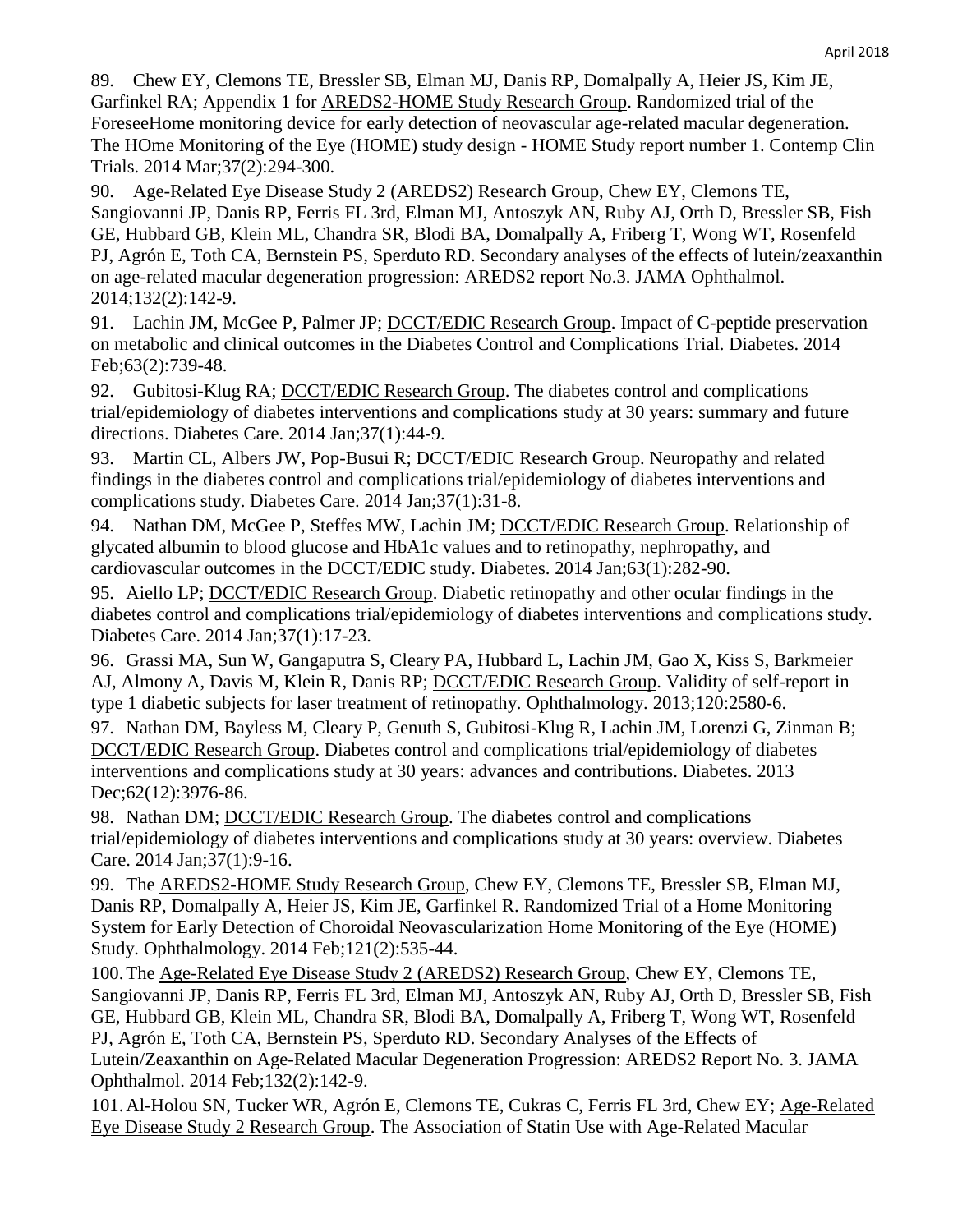89. Chew EY, Clemons TE, Bressler SB, Elman MJ, Danis RP, Domalpally A, Heier JS, Kim JE, Garfinkel RA; Appendix 1 for AREDS2-HOME Study Research Group. Randomized trial of the ForeseeHome monitoring device for early detection of neovascular age-related macular degeneration. The HOme Monitoring of the Eye (HOME) study design - HOME Study report number 1. Contemp Clin Trials. 2014 Mar;37(2):294-300.

90. Age-Related Eye Disease Study 2 (AREDS2) Research Group, [Chew EY,](https://www.ncbi.nlm.nih.gov/pubmed/?term=Chew%20EY%5BAuthor%5D&cauthor=true&cauthor_uid=24310343) [Clemons](https://www.ncbi.nlm.nih.gov/pubmed/?term=Clemons%20TE%5BAuthor%5D&cauthor=true&cauthor_uid=24310343) TE, [Sangiovanni JP,](https://www.ncbi.nlm.nih.gov/pubmed/?term=Sangiovanni%20JP%5BAuthor%5D&cauthor=true&cauthor_uid=24310343) [Danis RP,](https://www.ncbi.nlm.nih.gov/pubmed/?term=Danis%20RP%5BAuthor%5D&cauthor=true&cauthor_uid=24310343) [Ferris FL 3rd,](https://www.ncbi.nlm.nih.gov/pubmed/?term=Ferris%20FL%203rd%5BAuthor%5D&cauthor=true&cauthor_uid=24310343) [Elman MJ,](https://www.ncbi.nlm.nih.gov/pubmed/?term=Elman%20MJ%5BAuthor%5D&cauthor=true&cauthor_uid=24310343) [Antoszyk AN,](https://www.ncbi.nlm.nih.gov/pubmed/?term=Antoszyk%20AN%5BAuthor%5D&cauthor=true&cauthor_uid=24310343) [Ruby AJ,](https://www.ncbi.nlm.nih.gov/pubmed/?term=Ruby%20AJ%5BAuthor%5D&cauthor=true&cauthor_uid=24310343) [Orth D,](https://www.ncbi.nlm.nih.gov/pubmed/?term=Orth%20D%5BAuthor%5D&cauthor=true&cauthor_uid=24310343) [Bressler SB,](https://www.ncbi.nlm.nih.gov/pubmed/?term=Bressler%20SB%5BAuthor%5D&cauthor=true&cauthor_uid=24310343) [Fish](https://www.ncbi.nlm.nih.gov/pubmed/?term=Fish%20GE%5BAuthor%5D&cauthor=true&cauthor_uid=24310343)  [GE,](https://www.ncbi.nlm.nih.gov/pubmed/?term=Fish%20GE%5BAuthor%5D&cauthor=true&cauthor_uid=24310343) [Hubbard GB,](https://www.ncbi.nlm.nih.gov/pubmed/?term=Hubbard%20GB%5BAuthor%5D&cauthor=true&cauthor_uid=24310343) [Klein ML,](https://www.ncbi.nlm.nih.gov/pubmed/?term=Klein%20ML%5BAuthor%5D&cauthor=true&cauthor_uid=24310343) [Chandra](https://www.ncbi.nlm.nih.gov/pubmed/?term=Chandra%20SR%5BAuthor%5D&cauthor=true&cauthor_uid=24310343) SR, [Blodi BA,](https://www.ncbi.nlm.nih.gov/pubmed/?term=Blodi%20BA%5BAuthor%5D&cauthor=true&cauthor_uid=24310343) [Domalpally A,](https://www.ncbi.nlm.nih.gov/pubmed/?term=Domalpally%20A%5BAuthor%5D&cauthor=true&cauthor_uid=24310343) [Friberg T,](https://www.ncbi.nlm.nih.gov/pubmed/?term=Friberg%20T%5BAuthor%5D&cauthor=true&cauthor_uid=24310343) [Wong WT,](https://www.ncbi.nlm.nih.gov/pubmed/?term=Wong%20WT%5BAuthor%5D&cauthor=true&cauthor_uid=24310343) [Rosenfeld](https://www.ncbi.nlm.nih.gov/pubmed/?term=Rosenfeld%20PJ%5BAuthor%5D&cauthor=true&cauthor_uid=24310343)  [PJ,](https://www.ncbi.nlm.nih.gov/pubmed/?term=Rosenfeld%20PJ%5BAuthor%5D&cauthor=true&cauthor_uid=24310343) Agrón E, [Toth CA,](https://www.ncbi.nlm.nih.gov/pubmed/?term=Toth%20CA%5BAuthor%5D&cauthor=true&cauthor_uid=24310343) [Bernstein PS,](https://www.ncbi.nlm.nih.gov/pubmed/?term=Bernstein%20PS%5BAuthor%5D&cauthor=true&cauthor_uid=24310343) [Sperduto RD.](https://www.ncbi.nlm.nih.gov/pubmed/?term=Sperduto%20RD%5BAuthor%5D&cauthor=true&cauthor_uid=24310343) Secondary analyses of the effects of lutein/zeaxanthin on age-related macular degeneration progression: AREDS2 report No.3. JAMA Ophthalmol. 2014;132(2):142-9.

91. Lachin JM, McGee P, Palmer JP; DCCT/EDIC Research Group. Impact of C-peptide preservation on metabolic and clinical outcomes in the Diabetes Control and Complications Trial. Diabetes. 2014 Feb;63(2):739-48.

92. Gubitosi-Klug RA; DCCT/EDIC Research Group. The diabetes control and complications trial/epidemiology of diabetes interventions and complications study at 30 years: summary and future directions. Diabetes Care. 2014 Jan;37(1):44-9.

93. Martin CL, Albers JW, Pop-Busui R; DCCT/EDIC Research Group. Neuropathy and related findings in the diabetes control and complications trial/epidemiology of diabetes interventions and complications study. Diabetes Care. 2014 Jan;37(1):31-8.

94. Nathan DM, McGee P, Steffes MW, Lachin JM; DCCT/EDIC Research Group. Relationship of glycated albumin to blood glucose and HbA1c values and to retinopathy, nephropathy, and cardiovascular outcomes in the DCCT/EDIC study. Diabetes. 2014 Jan;63(1):282-90.

95. Aiello LP; DCCT/EDIC Research Group. Diabetic retinopathy and other ocular findings in the diabetes control and complications trial/epidemiology of diabetes interventions and complications study. Diabetes Care. 2014 Jan;37(1):17-23.

96. Grassi MA, Sun W, Gangaputra S, Cleary PA, Hubbard L, Lachin JM, Gao X, Kiss S, Barkmeier AJ, Almony A, Davis M, Klein R, Danis RP; **DCCT/EDIC Research Group**. Validity of self-report in type 1 diabetic subjects for laser treatment of retinopathy. Ophthalmology. 2013;120:2580-6.

97. Nathan DM, Bayless M, Cleary P, Genuth S, Gubitosi-Klug R, Lachin JM, Lorenzi G, Zinman B; DCCT/EDIC Research Group. Diabetes control and complications trial/epidemiology of diabetes interventions and complications study at 30 years: advances and contributions. Diabetes. 2013 Dec;62(12):3976-86.

98. Nathan DM; DCCT/EDIC Research Group. The diabetes control and complications trial/epidemiology of diabetes interventions and complications study at 30 years: overview. Diabetes Care. 2014 Jan;37(1):9-16.

99. The AREDS2-HOME Study Research Group, Chew EY, Clemons TE, Bressler SB, Elman MJ, Danis RP, Domalpally A, Heier JS, Kim JE, Garfinkel R. Randomized Trial of a Home Monitoring System for Early Detection of Choroidal Neovascularization Home Monitoring of the Eye (HOME) Study. Ophthalmology. 2014 Feb;121(2):535-44.

100.The Age-Related Eye Disease Study 2 (AREDS2) Research Group, Chew EY, Clemons TE, Sangiovanni JP, Danis RP, Ferris FL 3rd, Elman MJ, Antoszyk AN, Ruby AJ, Orth D, Bressler SB, Fish GE, Hubbard GB, Klein ML, Chandra SR, Blodi BA, Domalpally A, Friberg T, Wong WT, Rosenfeld PJ, Agrón E, Toth CA, Bernstein PS, Sperduto RD. Secondary Analyses of the Effects of Lutein/Zeaxanthin on Age-Related Macular Degeneration Progression: AREDS2 Report No. 3. JAMA Ophthalmol. 2014 Feb;132(2):142-9.

101.Al-Holou SN, Tucker WR, Agrón E, Clemons TE, Cukras C, Ferris FL 3rd, Chew EY; Age-Related Eye Disease Study 2 Research Group. The Association of Statin Use with Age-Related Macular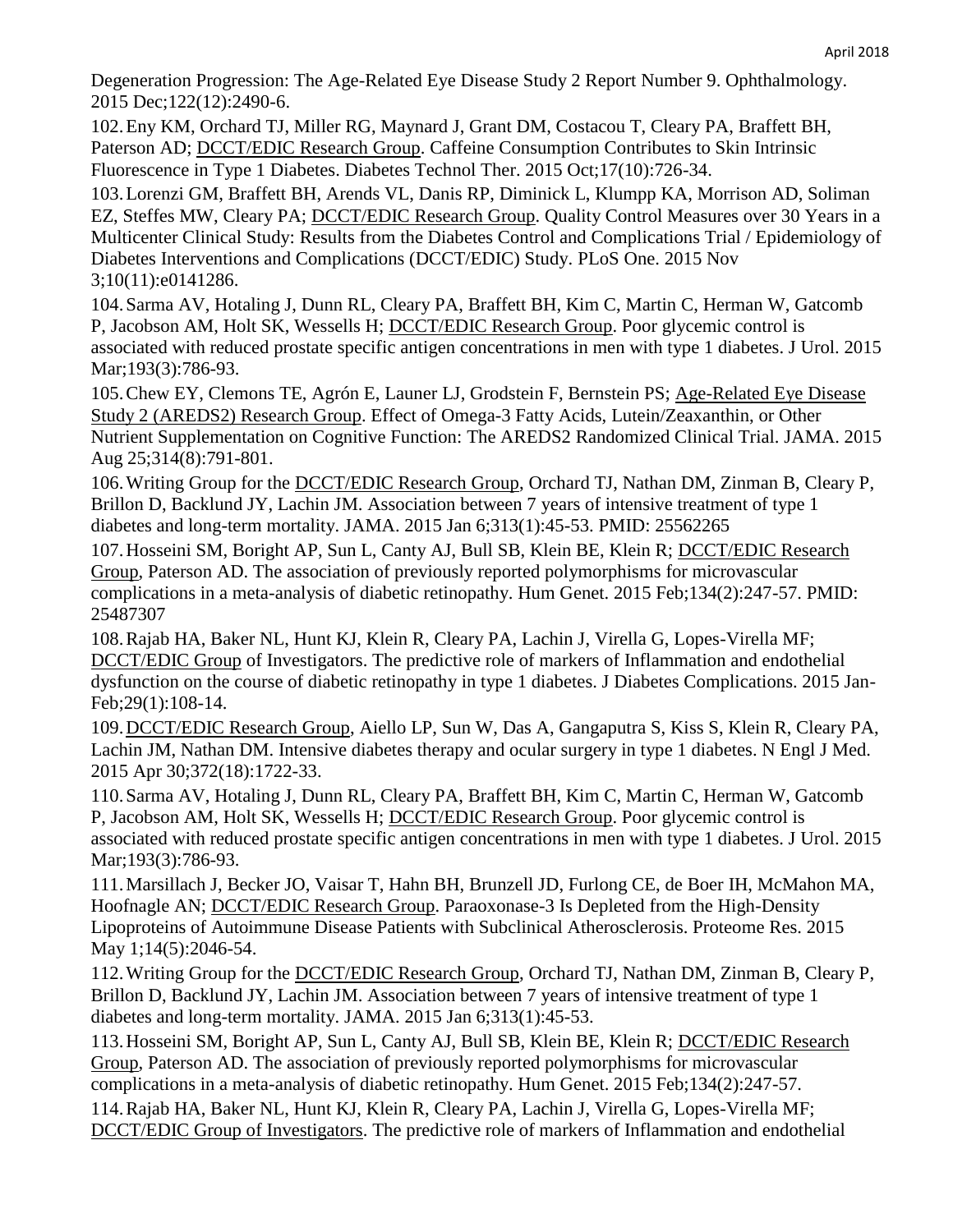Degeneration Progression: The Age-Related Eye Disease Study 2 Report Number 9. Ophthalmology. 2015 Dec;122(12):2490-6.

102.Eny KM, Orchard TJ, Miller RG, Maynard J, Grant DM, Costacou T, Cleary PA, Braffett BH, Paterson AD; DCCT/EDIC Research Group. Caffeine Consumption Contributes to Skin Intrinsic Fluorescence in Type 1 Diabetes. Diabetes Technol Ther. 2015 Oct;17(10):726-34.

103.Lorenzi GM, Braffett BH, Arends VL, Danis RP, Diminick L, Klumpp KA, Morrison AD, Soliman EZ, Steffes MW, Cleary PA; DCCT/EDIC Research Group. Quality Control Measures over 30 Years in a Multicenter Clinical Study: Results from the Diabetes Control and Complications Trial / Epidemiology of Diabetes Interventions and Complications (DCCT/EDIC) Study. PLoS One. 2015 Nov 3;10(11):e0141286.

104.Sarma AV, Hotaling J, Dunn RL, Cleary PA, Braffett BH, Kim C, Martin C, Herman W, Gatcomb P, Jacobson AM, Holt SK, Wessells H; DCCT/EDIC Research Group. Poor glycemic control is associated with reduced prostate specific antigen concentrations in men with type 1 diabetes. J Urol. 2015 Mar; 193(3): 786-93.

105.Chew EY, Clemons TE, Agrón E, Launer LJ, Grodstein F, Bernstein PS; Age-Related Eye Disease Study 2 (AREDS2) Research Group. Effect of Omega-3 Fatty Acids, Lutein/Zeaxanthin, or Other Nutrient Supplementation on Cognitive Function: The AREDS2 Randomized Clinical Trial. JAMA. 2015 Aug 25;314(8):791-801.

106.Writing Group for the DCCT/EDIC Research Group, Orchard TJ, Nathan DM, Zinman B, Cleary P, Brillon D, Backlund JY, Lachin JM. Association between 7 years of intensive treatment of type 1 diabetes and long-term mortality. JAMA. 2015 Jan 6;313(1):45-53. PMID: 25562265

107.Hosseini SM, Boright AP, Sun L, Canty AJ, Bull SB, Klein BE, Klein R; DCCT/EDIC Research Group, Paterson AD. The association of previously reported polymorphisms for microvascular complications in a meta-analysis of diabetic retinopathy. Hum Genet. 2015 Feb;134(2):247-57. PMID: 25487307

108.Rajab HA, Baker NL, Hunt KJ, Klein R, Cleary PA, Lachin J, Virella G, Lopes-Virella MF; DCCT/EDIC Group of Investigators. The predictive role of markers of Inflammation and endothelial dysfunction on the course of diabetic retinopathy in type 1 diabetes. J Diabetes Complications. 2015 Jan-Feb;29(1):108-14.

109.DCCT/EDIC Research Group, Aiello LP, Sun W, Das A, Gangaputra S, Kiss S, Klein R, Cleary PA, Lachin JM, Nathan DM. Intensive diabetes therapy and ocular surgery in type 1 diabetes. N Engl J Med. 2015 Apr 30;372(18):1722-33.

110.Sarma AV, Hotaling J, Dunn RL, Cleary PA, Braffett BH, Kim C, Martin C, Herman W, Gatcomb P, Jacobson AM, Holt SK, Wessells H; DCCT/EDIC Research Group. Poor glycemic control is associated with reduced prostate specific antigen concentrations in men with type 1 diabetes. J Urol. 2015 Mar;193(3):786-93.

111.Marsillach J, Becker JO, Vaisar T, Hahn BH, Brunzell JD, Furlong CE, de Boer IH, McMahon MA, Hoofnagle AN; DCCT/EDIC Research Group. Paraoxonase-3 Is Depleted from the High-Density Lipoproteins of Autoimmune Disease Patients with Subclinical Atherosclerosis. Proteome Res. 2015 May 1;14(5):2046-54.

112.Writing Group for the DCCT/EDIC Research Group, Orchard TJ, Nathan DM, Zinman B, Cleary P, Brillon D, Backlund JY, Lachin JM. Association between 7 years of intensive treatment of type 1 diabetes and long-term mortality. JAMA. 2015 Jan 6;313(1):45-53.

113.Hosseini SM, Boright AP, Sun L, Canty AJ, Bull SB, Klein BE, Klein R; DCCT/EDIC Research Group, Paterson AD. The association of previously reported polymorphisms for microvascular complications in a meta-analysis of diabetic retinopathy. Hum Genet. 2015 Feb;134(2):247-57.

114.Rajab HA, Baker NL, Hunt KJ, Klein R, Cleary PA, Lachin J, Virella G, Lopes-Virella MF; DCCT/EDIC Group of Investigators. The predictive role of markers of Inflammation and endothelial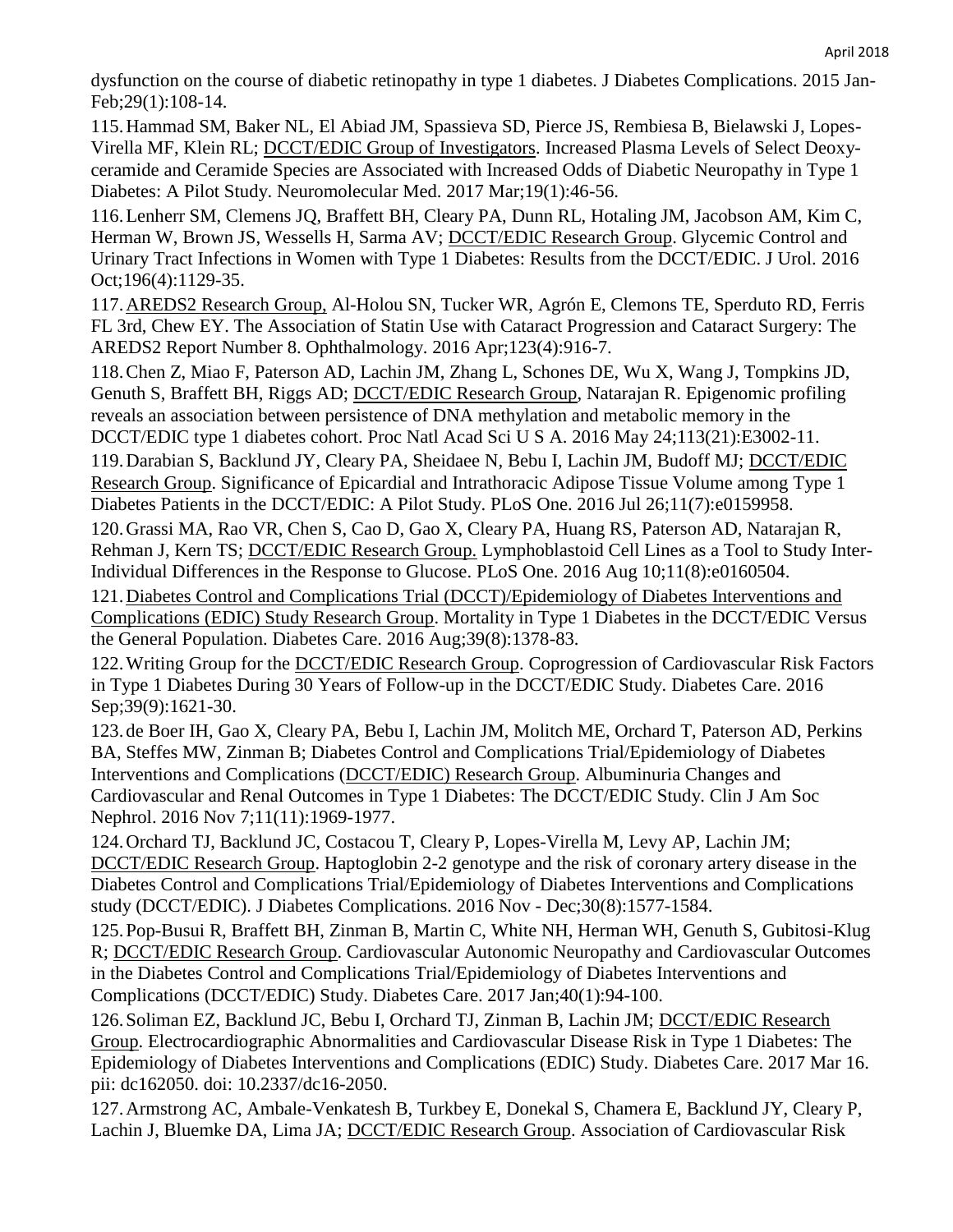dysfunction on the course of diabetic retinopathy in type 1 diabetes. J Diabetes Complications. 2015 Jan-Feb;29(1):108-14.

115.Hammad SM, Baker NL, El Abiad JM, Spassieva SD, Pierce JS, Rembiesa B, Bielawski J, Lopes-Virella MF, Klein RL; DCCT/EDIC Group of Investigators. Increased Plasma Levels of Select Deoxyceramide and Ceramide Species are Associated with Increased Odds of Diabetic Neuropathy in Type 1 Diabetes: A Pilot Study. Neuromolecular Med. 2017 Mar;19(1):46-56.

116.Lenherr SM, Clemens JQ, Braffett BH, Cleary PA, Dunn RL, Hotaling JM, Jacobson AM, Kim C, Herman W, Brown JS, Wessells H, Sarma AV; **DCCT/EDIC Research Group**. Glycemic Control and Urinary Tract Infections in Women with Type 1 Diabetes: Results from the DCCT/EDIC. J Urol. 2016 Oct;196(4):1129-35.

117.AREDS2 Research Group, Al-Holou SN, Tucker WR, Agrón E, Clemons TE, Sperduto RD, Ferris FL 3rd, Chew EY. The Association of Statin Use with Cataract Progression and Cataract Surgery: The AREDS2 Report Number 8. Ophthalmology. 2016 Apr;123(4):916-7.

118.Chen Z, Miao F, Paterson AD, Lachin JM, Zhang L, Schones DE, Wu X, Wang J, Tompkins JD, Genuth S, Braffett BH, Riggs AD; DCCT/EDIC Research Group, Natarajan R. Epigenomic profiling reveals an association between persistence of DNA methylation and metabolic memory in the DCCT/EDIC type 1 diabetes cohort. Proc Natl Acad Sci U S A. 2016 May 24;113(21):E3002-11.

119.Darabian S, Backlund JY, Cleary PA, Sheidaee N, Bebu I, Lachin JM, Budoff MJ; DCCT/EDIC Research Group. Significance of Epicardial and Intrathoracic Adipose Tissue Volume among Type 1 Diabetes Patients in the DCCT/EDIC: A Pilot Study. PLoS One. 2016 Jul 26;11(7):e0159958.

120.Grassi MA, Rao VR, Chen S, Cao D, Gao X, Cleary PA, Huang RS, Paterson AD, Natarajan R, Rehman J, Kern TS; DCCT/EDIC Research Group. Lymphoblastoid Cell Lines as a Tool to Study Inter-Individual Differences in the Response to Glucose. PLoS One. 2016 Aug 10;11(8):e0160504.

121.Diabetes Control and Complications Trial (DCCT)/Epidemiology of Diabetes Interventions and Complications (EDIC) Study Research Group. Mortality in Type 1 Diabetes in the DCCT/EDIC Versus the General Population. Diabetes Care. 2016 Aug;39(8):1378-83.

122.Writing Group for the DCCT/EDIC Research Group. Coprogression of Cardiovascular Risk Factors in Type 1 Diabetes During 30 Years of Follow-up in the DCCT/EDIC Study. Diabetes Care. 2016 Sep;39(9):1621-30.

123. de Boer IH, Gao X, Cleary PA, Bebu I, Lachin JM, Molitch ME, Orchard T, Paterson AD, Perkins BA, Steffes MW, Zinman B; Diabetes Control and Complications Trial/Epidemiology of Diabetes Interventions and Complications (DCCT/EDIC) Research Group. Albuminuria Changes and Cardiovascular and Renal Outcomes in Type 1 Diabetes: The DCCT/EDIC Study. Clin J Am Soc Nephrol. 2016 Nov 7;11(11):1969-1977.

124.Orchard TJ, Backlund JC, Costacou T, Cleary P, Lopes-Virella M, Levy AP, Lachin JM; DCCT/EDIC Research Group. Haptoglobin 2-2 genotype and the risk of coronary artery disease in the Diabetes Control and Complications Trial/Epidemiology of Diabetes Interventions and Complications study (DCCT/EDIC). J Diabetes Complications. 2016 Nov - Dec;30(8):1577-1584.

125.Pop-Busui R, Braffett BH, Zinman B, Martin C, White NH, Herman WH, Genuth S, Gubitosi-Klug R; DCCT/EDIC Research Group. Cardiovascular Autonomic Neuropathy and Cardiovascular Outcomes in the Diabetes Control and Complications Trial/Epidemiology of Diabetes Interventions and Complications (DCCT/EDIC) Study. Diabetes Care. 2017 Jan;40(1):94-100.

126.Soliman EZ, Backlund JC, Bebu I, Orchard TJ, Zinman B, Lachin JM; DCCT/EDIC Research Group. Electrocardiographic Abnormalities and Cardiovascular Disease Risk in Type 1 Diabetes: The Epidemiology of Diabetes Interventions and Complications (EDIC) Study. Diabetes Care. 2017 Mar 16. pii: dc162050. doi: 10.2337/dc16-2050.

127.Armstrong AC, Ambale-Venkatesh B, Turkbey E, Donekal S, Chamera E, Backlund JY, Cleary P, Lachin J, Bluemke DA, Lima JA; DCCT/EDIC Research Group. Association of Cardiovascular Risk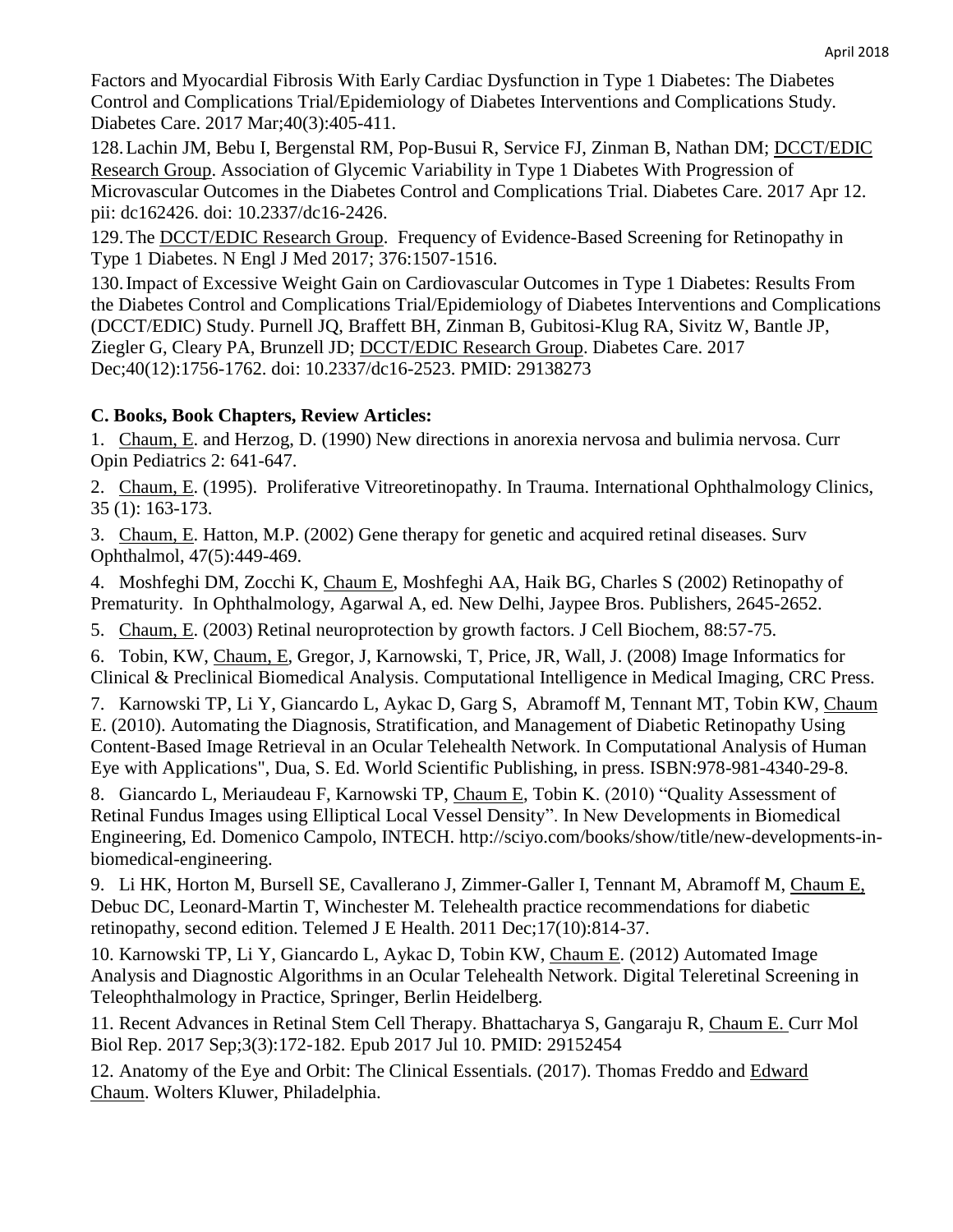Factors and Myocardial Fibrosis With Early Cardiac Dysfunction in Type 1 Diabetes: The Diabetes Control and Complications Trial/Epidemiology of Diabetes Interventions and Complications Study. Diabetes Care. 2017 Mar;40(3):405-411.

128.Lachin JM, Bebu I, Bergenstal RM, Pop-Busui R, Service FJ, Zinman B, Nathan DM; DCCT/EDIC Research Group. Association of Glycemic Variability in Type 1 Diabetes With Progression of Microvascular Outcomes in the Diabetes Control and Complications Trial. Diabetes Care. 2017 Apr 12. pii: dc162426. doi: 10.2337/dc16-2426.

129.The DCCT/EDIC Research Group. Frequency of Evidence-Based Screening for Retinopathy in Type 1 Diabetes. N Engl J Med 2017; 376:1507-1516.

130.Impact of Excessive Weight Gain on Cardiovascular Outcomes in Type 1 Diabetes: Results From the Diabetes Control and Complications Trial/Epidemiology of Diabetes Interventions and Complications (DCCT/EDIC) Study. Purnell JQ, Braffett BH, Zinman B, Gubitosi-Klug RA, Sivitz W, Bantle JP, Ziegler G, Cleary PA, Brunzell JD; DCCT/EDIC Research Group. Diabetes Care. 2017 Dec;40(12):1756-1762. doi: 10.2337/dc16-2523. PMID: 29138273

# **C. Books, Book Chapters, Review Articles:**

1. Chaum, E. and Herzog, D. (1990) New directions in anorexia nervosa and bulimia nervosa. Curr Opin Pediatrics 2: 641-647.

2. Chaum, E. (1995). Proliferative Vitreoretinopathy. In Trauma. International Ophthalmology Clinics, 35 (1): 163-173.

3. Chaum, E. Hatton, M.P. (2002) Gene therapy for genetic and acquired retinal diseases. Surv Ophthalmol, 47(5):449-469.

4. Moshfeghi DM, Zocchi K, Chaum E, Moshfeghi AA, Haik BG, Charles S (2002) Retinopathy of Prematurity. In Ophthalmology, Agarwal A, ed. New Delhi, Jaypee Bros. Publishers, 2645-2652.

5. Chaum, E. (2003) Retinal neuroprotection by growth factors. J Cell Biochem, 88:57-75.

6. Tobin, KW, Chaum, E, Gregor, J, Karnowski, T, Price, JR, Wall, J. (2008) Image Informatics for Clinical & Preclinical Biomedical Analysis. Computational Intelligence in Medical Imaging, CRC Press.

7. Karnowski TP, Li Y, Giancardo L, Aykac D, Garg S, Abramoff M, Tennant MT, Tobin KW, Chaum E. (2010). Automating the Diagnosis, Stratification, and Management of Diabetic Retinopathy Using Content-Based Image Retrieval in an Ocular Telehealth Network. In Computational Analysis of Human Eye with Applications", Dua, S. Ed. World Scientific Publishing, in press. ISBN:978-981-4340-29-8.

8. Giancardo L, Meriaudeau F, Karnowski TP, Chaum E, Tobin K. (2010) "Quality Assessment of Retinal Fundus Images using Elliptical Local Vessel Density". In New Developments in Biomedical Engineering, Ed. Domenico Campolo, INTECH. [http://sciyo.com/books/show/title/new-developments-in](http://sciyo.com/books/show/title/new-developments-in-biomedical-engineering)[biomedical-engineering.](http://sciyo.com/books/show/title/new-developments-in-biomedical-engineering)

9. Li HK, Horton M, Bursell SE, Cavallerano J, Zimmer-Galler I, Tennant M, Abramoff M, Chaum E, Debuc DC, Leonard-Martin T, Winchester M. Telehealth practice recommendations for diabetic retinopathy, second edition. Telemed J E Health. 2011 Dec;17(10):814-37.

10. Karnowski TP, Li Y, Giancardo L, Aykac D, Tobin KW, Chaum E. (2012) Automated Image Analysis and Diagnostic Algorithms in an Ocular Telehealth Network. Digital Teleretinal Screening in Teleophthalmology in Practice, Springer, Berlin Heidelberg.

11. Recent Advances in Retinal Stem Cell Therapy. Bhattacharya S, Gangaraju R, Chaum E. Curr Mol Biol Rep. 2017 Sep;3(3):172-182. Epub 2017 Jul 10. PMID: 29152454

12. Anatomy of the Eye and Orbit: The Clinical Essentials. (2017). Thomas Freddo and Edward Chaum. Wolters Kluwer, Philadelphia.